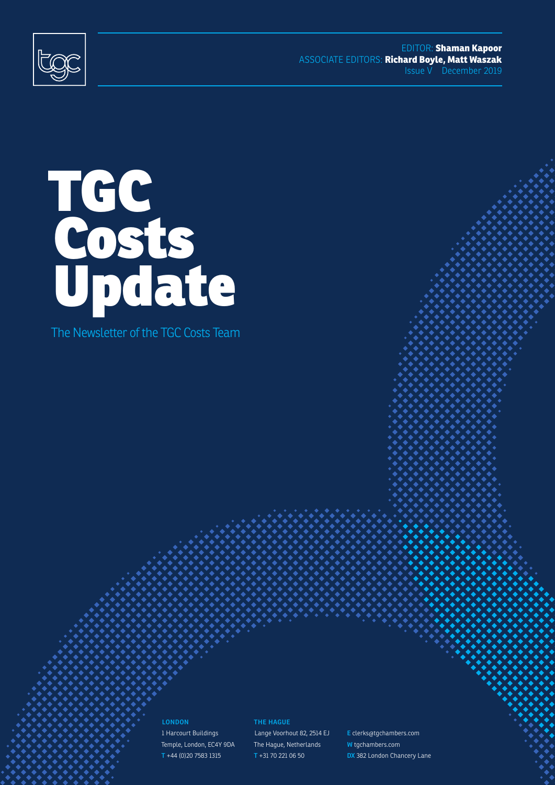

EDITOR: **Shaman Kapoor** ASSOCIATE EDITORS: **Richard Boyle, Matt Waszak** Issue V December 2019



The Newsletter of the TGC Costs Team

**LONDON** 1 Harcourt Buildings Temple, London, EC4Y 9DA **T** +44 (0)20 7583 1315

**THE HAGUE** Lange Voorhout 82, 2514 EJ The Hague, Netherlands **T** +31 70 221 06 50

**E** clerks@tgchambers.com **W** tgchambers.com **DX** 382 London Chancery Lane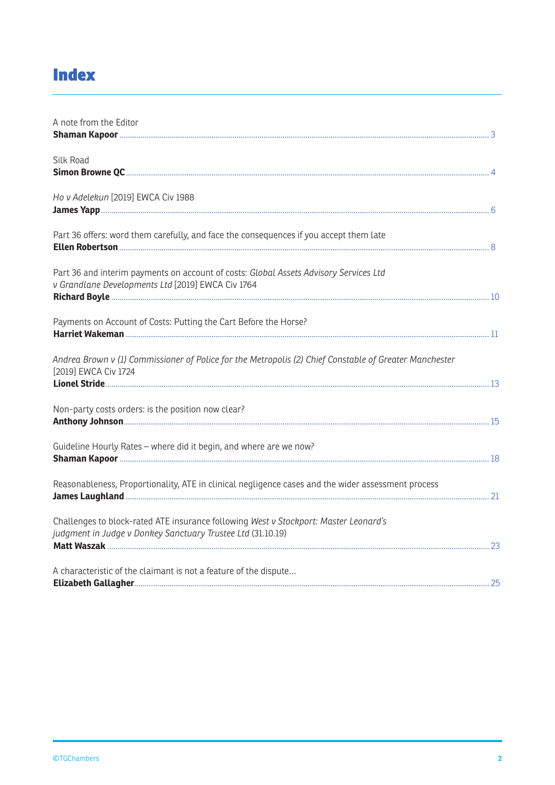## **Index**

| A note from the Editor                                                                                                                              |  |
|-----------------------------------------------------------------------------------------------------------------------------------------------------|--|
| <b>Silk Road</b>                                                                                                                                    |  |
| Ho v Adelekun [2019] EWCA Civ 1988                                                                                                                  |  |
| Part 36 offers: word them carefully, and face the consequences if you accept them late                                                              |  |
| Part 36 and interim payments on account of costs: Global Assets Advisory Services Ltd<br>v Grandlane Developments Ltd [2019] EWCA Civ 1764          |  |
| Payments on Account of Costs: Putting the Cart Before the Horse?                                                                                    |  |
| Andrea Brown v (1) Commissioner of Police for the Metropolis (2) Chief Constable of Greater Manchester<br>[2019] EWCA Civ 1724                      |  |
| Non-party costs orders: is the position now clear?                                                                                                  |  |
| Guideline Hourly Rates - where did it begin, and where are we now?                                                                                  |  |
| Reasonableness, Proportionality, ATE in clinical negligence cases and the wider assessment process                                                  |  |
| Challenges to block-rated ATE insurance following West v Stockport: Master Leonard's<br>judgment in Judge v Donkey Sanctuary Trustee Ltd (31.10.19) |  |
| A characteristic of the claimant is not a feature of the dispute                                                                                    |  |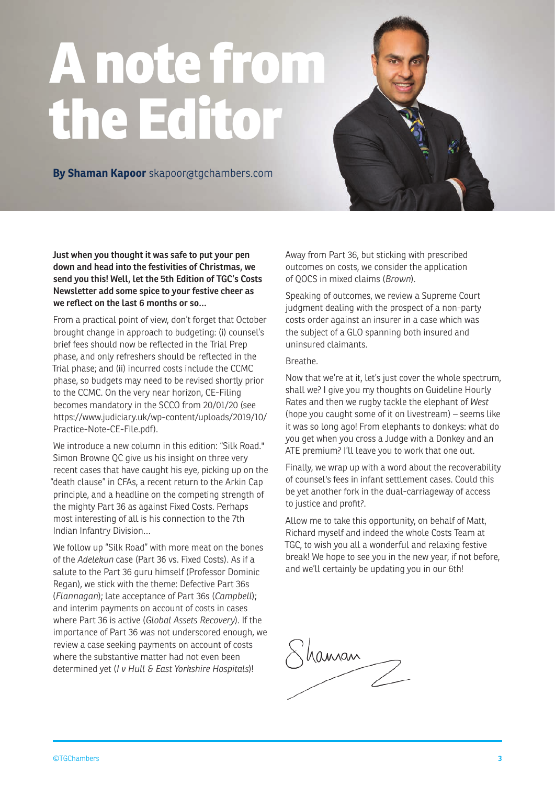# **A note from the Editor**

**By Shaman Kapoor** skapoor@tgchambers.com

**Just when you thought it was safe to put your pen down and head into the festivities of Christmas, we send you this! Well, let the 5th Edition of TGC's Costs Newsletter add some spice to your festive cheer as we reflect on the last 6 months or so…**

From a practical point of view, don't forget that October brought change in approach to budgeting: (i) counsel's brief fees should now be reflected in the Trial Prep phase, and only refreshers should be reflected in the Trial phase; and (ii) incurred costs include the CCMC phase, so budgets may need to be revised shortly prior to the CCMC. On the very near horizon, CE-Filing becomes mandatory in the SCCO from 20/01/20 (see https://www.judiciary.uk/wp-content/uploads/2019/10/ Practice-Note-CE-File.pdf).

We introduce a new column in this edition: "Silk Road." Simon Browne QC give us his insight on three very recent cases that have caught his eye, picking up on the "death clause" in CFAs, a recent return to the Arkin Cap principle, and a headline on the competing strength of the mighty Part 36 as against Fixed Costs. Perhaps most interesting of all is his connection to the 7th Indian Infantry Division…

We follow up "Silk Road" with more meat on the bones of the *Adelekun* case (Part 36 vs. Fixed Costs). As if a salute to the Part 36 guru himself (Professor Dominic Regan), we stick with the theme: Defective Part 36s (*Flannagan*); late acceptance of Part 36s (*Campbell*); and interim payments on account of costs in cases where Part 36 is active (*Global Assets Recovery*). If the importance of Part 36 was not underscored enough, we review a case seeking payments on account of costs where the substantive matter had not even been determined yet (*I v Hull & East Yorkshire Hospitals*)!

Away from Part 36, but sticking with prescribed outcomes on costs, we consider the application of QOCS in mixed claims (*Brown*).

Speaking of outcomes, we review a Supreme Court judgment dealing with the prospect of a non-party costs order against an insurer in a case which was the subject of a GLO spanning both insured and uninsured claimants.

#### Breathe.

Now that we're at it, let's just cover the whole spectrum, shall we? I give you my thoughts on Guideline Hourly Rates and then we rugby tackle the elephant of *West* (hope you caught some of it on livestream) – seems like it was so long ago! From elephants to donkeys: what do you get when you cross a Judge with a Donkey and an ATE premium? I'll leave you to work that one out.

Finally, we wrap up with a word about the recoverability of counsel's fees in infant settlement cases. Could this be yet another fork in the dual-carriageway of access to justice and profit?.

Allow me to take this opportunity, on behalf of Matt, Richard myself and indeed the whole Costs Team at TGC, to wish you all a wonderful and relaxing festive break! We hope to see you in the new year, if not before, and we'll certainly be updating you in our 6th!

Shaman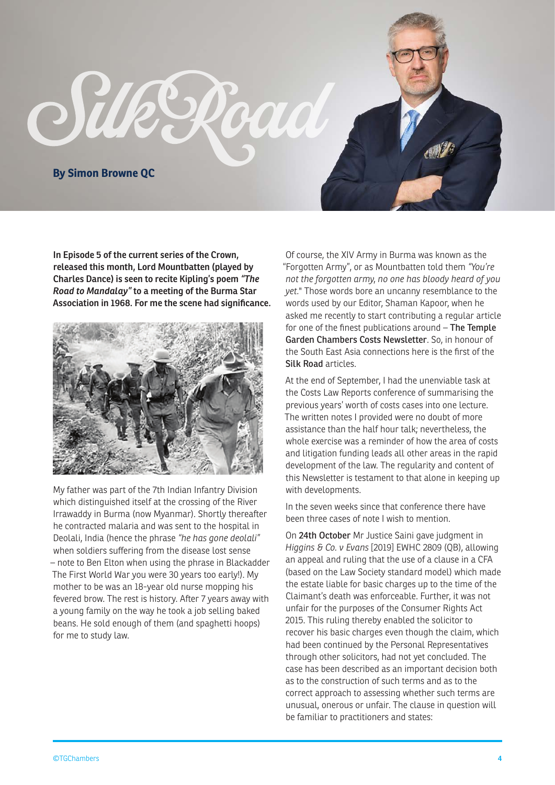

**In Episode 5 of the current series of the Crown, released this month, Lord Mountbatten (played by Charles Dance) is seen to recite Kipling's poem** *"The Road to Mandalay"* **to a meeting of the Burma Star Association in 1968. For me the scene had significance.** 



My father was part of the 7th Indian Infantry Division which distinguished itself at the crossing of the River Irrawaddy in Burma (now Myanmar). Shortly thereafter he contracted malaria and was sent to the hospital in Deolali, India (hence the phrase *"he has gone deolali"* when soldiers suffering from the disease lost sense – note to Ben Elton when using the phrase in Blackadder The First World War you were 30 years too early!). My mother to be was an 18-year old nurse mopping his fevered brow. The rest is history. After 7 years away with a young family on the way he took a job selling baked beans. He sold enough of them (and spaghetti hoops) for me to study law.

Of course, the XIV Army in Burma was known as the "Forgotten Army", or as Mountbatten told them *"You're not the forgotten army, no one has bloody heard of you yet.*" Those words bore an uncanny resemblance to the words used by our Editor, Shaman Kapoor, when he asked me recently to start contributing a regular article for one of the finest publications around – The Temple Garden Chambers Costs Newsletter. So, in honour of the South East Asia connections here is the first of the Silk Road articles.

At the end of September, I had the unenviable task at the Costs Law Reports conference of summarising the previous years' worth of costs cases into one lecture. The written notes I provided were no doubt of more assistance than the half hour talk; nevertheless, the whole exercise was a reminder of how the area of costs and litigation funding leads all other areas in the rapid development of the law. The regularity and content of this Newsletter is testament to that alone in keeping up with developments.

In the seven weeks since that conference there have been three cases of note I wish to mention.

On 24th October Mr Justice Saini gave judgment in *Higgins & Co. v Evans* [2019] EWHC 2809 (QB), allowing an appeal and ruling that the use of a clause in a CFA (based on the Law Society standard model) which made the estate liable for basic charges up to the time of the Claimant's death was enforceable. Further, it was not unfair for the purposes of the Consumer Rights Act 2015. This ruling thereby enabled the solicitor to recover his basic charges even though the claim, which had been continued by the Personal Representatives through other solicitors, had not yet concluded. The case has been described as an important decision both as to the construction of such terms and as to the correct approach to assessing whether such terms are unusual, onerous or unfair. The clause in question will be familiar to practitioners and states: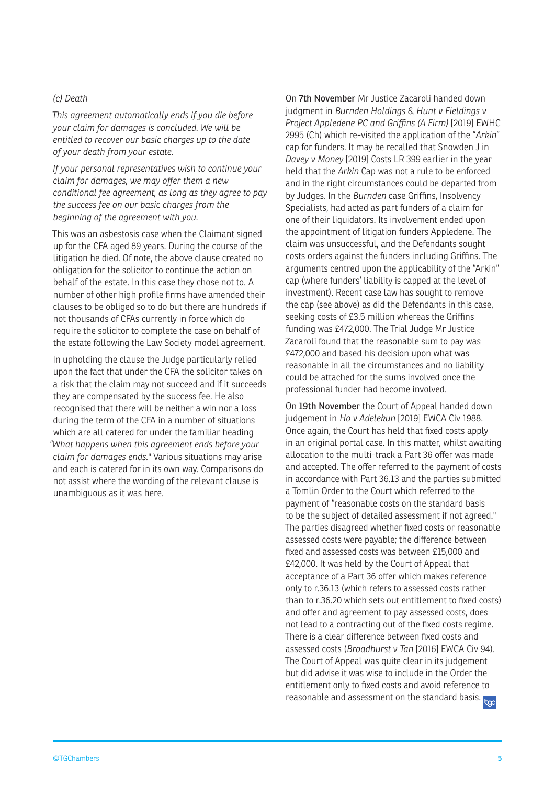#### *(c) Death*

*This agreement automatically ends if you die before your claim for damages is concluded. We will be entitled to recover our basic charges up to the date of your death from your estate.*

*If your personal representatives wish to continue your claim for damages, we may offer them a new conditional fee agreement, as long as they agree to pay the success fee on our basic charges from the beginning of the agreement with you.*

This was an asbestosis case when the Claimant signed up for the CFA aged 89 years. During the course of the litigation he died. Of note, the above clause created no obligation for the solicitor to continue the action on behalf of the estate. In this case they chose not to. A number of other high profile firms have amended their clauses to be obliged so to do but there are hundreds if not thousands of CFAs currently in force which do require the solicitor to complete the case on behalf of the estate following the Law Society model agreement.

In upholding the clause the Judge particularly relied upon the fact that under the CFA the solicitor takes on a risk that the claim may not succeed and if it succeeds they are compensated by the success fee. He also recognised that there will be neither a win nor a loss during the term of the CFA in a number of situations which are all catered for under the familiar heading *"What happens when this agreement ends before your claim for damages ends.*" Various situations may arise and each is catered for in its own way. Comparisons do not assist where the wording of the relevant clause is unambiguous as it was here.

On 7th November Mr Justice Zacaroli handed down judgment in *Burnden Holdings* & *Hunt v Fieldings v Project Appledene PC and Griffins (A Firm)* [2019] EWHC 2995 (Ch) which re-visited the application of the "*Arkin*" cap for funders. It may be recalled that Snowden J in *Davey v Money* [2019] Costs LR 399 earlier in the year held that the *Arkin* Cap was not a rule to be enforced and in the right circumstances could be departed from by Judges. In the *Burnden* case Griffins, Insolvency Specialists, had acted as part funders of a claim for one of their liquidators. Its involvement ended upon the appointment of litigation funders Appledene. The claim was unsuccessful, and the Defendants sought costs orders against the funders including Griffins. The arguments centred upon the applicability of the "Arkin" cap (where funders' liability is capped at the level of investment). Recent case law has sought to remove the cap (see above) as did the Defendants in this case, seeking costs of £3.5 million whereas the Griffins funding was £472,000. The Trial Judge Mr Justice Zacaroli found that the reasonable sum to pay was £472,000 and based his decision upon what was reasonable in all the circumstances and no liability could be attached for the sums involved once the professional funder had become involved.

On 19th November the Court of Appeal handed down judgement in *Ho v Adelekun* [2019] EWCA Civ 1988. Once again, the Court has held that fixed costs apply in an original portal case. In this matter, whilst awaiting allocation to the multi-track a Part 36 offer was made and accepted. The offer referred to the payment of costs in accordance with Part 36.13 and the parties submitted a Tomlin Order to the Court which referred to the payment of "reasonable costs on the standard basis to be the subject of detailed assessment if not agreed." The parties disagreed whether fixed costs or reasonable assessed costs were payable; the difference between fixed and assessed costs was between £15,000 and £42,000. It was held by the Court of Appeal that acceptance of a Part 36 offer which makes reference only to r.36.13 (which refers to assessed costs rather than to r.36.20 which sets out entitlement to fixed costs) and offer and agreement to pay assessed costs, does not lead to a contracting out of the fixed costs regime. There is a clear difference between fixed costs and assessed costs (*Broadhurst v Tan* [2016] EWCA Civ 94). The Court of Appeal was quite clear in its judgement but did advise it was wise to include in the Order the entitlement only to fixed costs and avoid reference to reasonable and assessment on the standard basis.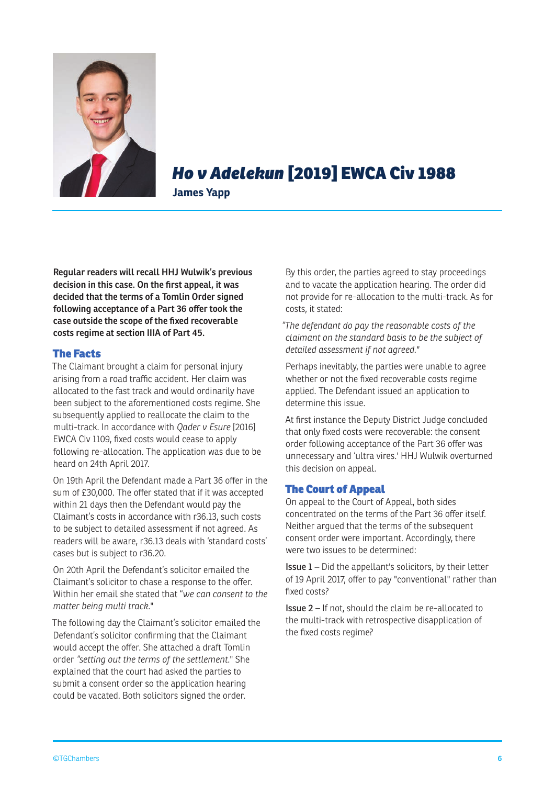

## *Ho v Adelekun* [2019] EWCA Civ 1988

**James Yapp**

**Regular readers will recall HHJ Wulwik's previous decision in this case. On the first appeal, it was decided that the terms of a Tomlin Order signed following acceptance of a Part 36 offer took the case outside the scope of the fixed recoverable costs regime at section IIIA of Part 45.**

#### The Facts

The Claimant brought a claim for personal injury arising from a road traffic accident. Her claim was allocated to the fast track and would ordinarily have been subject to the aforementioned costs regime. She subsequently applied to reallocate the claim to the multi-track. In accordance with *Qader v Esure* [2016] EWCA Civ 1109, fixed costs would cease to apply following re-allocation. The application was due to be heard on 24th April 2017.

On 19th April the Defendant made a Part 36 offer in the sum of £30,000. The offer stated that if it was accepted within 21 days then the Defendant would pay the Claimant's costs in accordance with r36.13, such costs to be subject to detailed assessment if not agreed. As readers will be aware, r36.13 deals with 'standard costs' cases but is subject to r36.20.

On 20th April the Defendant's solicitor emailed the Claimant's solicitor to chase a response to the offer. Within her email she stated that "*we can consent to the matter being multi track*."

The following day the Claimant's solicitor emailed the Defendant's solicitor confirming that the Claimant would accept the offer. She attached a draft Tomlin order *"setting out the terms of the settlement.*" She explained that the court had asked the parties to submit a consent order so the application hearing could be vacated. Both solicitors signed the order.

By this order, the parties agreed to stay proceedings and to vacate the application hearing. The order did not provide for re-allocation to the multi-track. As for costs, it stated:

*"The defendant do pay the reasonable costs of the claimant on the standard basis to be the subject of detailed assessment if not agreed."* 

Perhaps inevitably, the parties were unable to agree whether or not the fixed recoverable costs regime applied. The Defendant issued an application to determine this issue.

At first instance the Deputy District Judge concluded that only fixed costs were recoverable: the consent order following acceptance of the Part 36 offer was unnecessary and 'ultra vires.' HHJ Wulwik overturned this decision on appeal.

#### The Court of Appeal

On appeal to the Court of Appeal, both sides concentrated on the terms of the Part 36 offer itself. Neither argued that the terms of the subsequent consent order were important. Accordingly, there were two issues to be determined:

Issue 1 – Did the appellant's solicitors, by their letter of 19 April 2017, offer to pay "conventional" rather than fixed costs?

Issue 2 – If not, should the claim be re-allocated to the multi-track with retrospective disapplication of the fixed costs regime?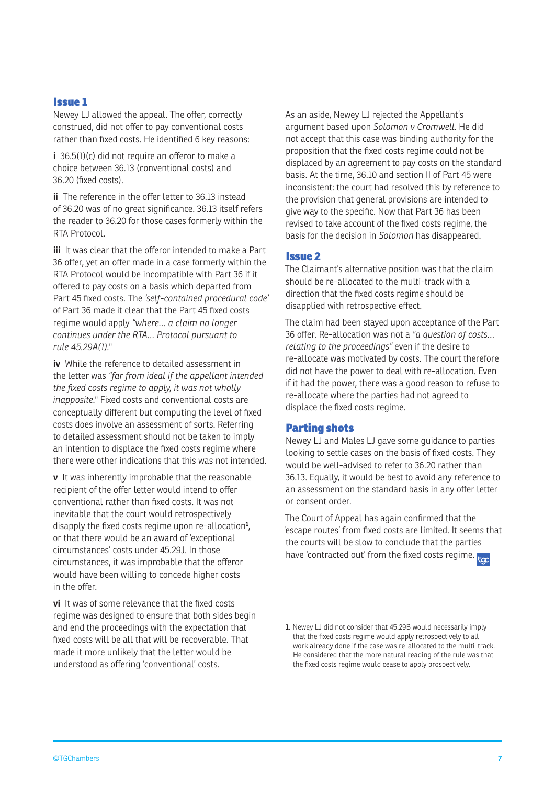#### Issue 1

Newey LJ allowed the appeal. The offer, correctly construed, did not offer to pay conventional costs rather than fixed costs. He identified 6 key reasons:

**i** 36.5(1)(c) did not require an offeror to make a choice between 36.13 (conventional costs) and 36.20 (fixed costs).

**ii** The reference in the offer letter to 36.13 instead of 36.20 was of no great significance. 36.13 itself refers the reader to 36.20 for those cases formerly within the RTA Protocol.

**iii** It was clear that the offeror intended to make a Part 36 offer, yet an offer made in a case formerly within the RTA Protocol would be incompatible with Part 36 if it offered to pay costs on a basis which departed from Part 45 fixed costs. The *'self-contained procedural code'*  of Part 36 made it clear that the Part 45 fixed costs regime would apply *"where… a claim no longer continues under the RTA… Protocol pursuant to rule 45.29A(1).*"

**iv** While the reference to detailed assessment in the letter was *"far from ideal if the appellant intended the fixed costs regime to apply, it was not wholly inapposite.*" Fixed costs and conventional costs are conceptually different but computing the level of fixed costs does involve an assessment of sorts. Referring to detailed assessment should not be taken to imply an intention to displace the fixed costs regime where there were other indications that this was not intended.

**v** It was inherently improbable that the reasonable recipient of the offer letter would intend to offer conventional rather than fixed costs. It was not inevitable that the court would retrospectively disapply the fixed costs regime upon re-allocation**<sup>1</sup>** , or that there would be an award of 'exceptional circumstances' costs under 45.29J. In those circumstances, it was improbable that the offeror would have been willing to concede higher costs in the offer.

**vi** It was of some relevance that the fixed costs regime was designed to ensure that both sides begin and end the proceedings with the expectation that fixed costs will be all that will be recoverable. That made it more unlikely that the letter would be understood as offering 'conventional' costs.

As an aside, Newey LJ rejected the Appellant's argument based upon *Solomon v Cromwell*. He did not accept that this case was binding authority for the proposition that the fixed costs regime could not be displaced by an agreement to pay costs on the standard basis. At the time, 36.10 and section II of Part 45 were inconsistent: the court had resolved this by reference to the provision that general provisions are intended to give way to the specific. Now that Part 36 has been revised to take account of the fixed costs regime, the basis for the decision in *Solomon* has disappeared.

#### Issue 2

The Claimant's alternative position was that the claim should be re-allocated to the multi-track with a direction that the fixed costs regime should be disapplied with retrospective effect.

The claim had been stayed upon acceptance of the Part 36 offer. Re-allocation was not a *"a question of costs… relating to the proceedings"* even if the desire to re-allocate was motivated by costs. The court therefore did not have the power to deal with re-allocation. Even if it had the power, there was a good reason to refuse to re-allocate where the parties had not agreed to displace the fixed costs regime.

#### Parting shots

Newey LJ and Males LJ gave some guidance to parties looking to settle cases on the basis of fixed costs. They would be well-advised to refer to 36.20 rather than 36.13. Equally, it would be best to avoid any reference to an assessment on the standard basis in any offer letter or consent order.

The Court of Appeal has again confirmed that the 'escape routes' from fixed costs are limited. It seems that the courts will be slow to conclude that the parties have 'contracted out' from the fixed costs regime.

**<sup>1.</sup>** Newey LJ did not consider that 45.29B would necessarily imply that the fixed costs regime would apply retrospectively to all work already done if the case was re-allocated to the multi-track. He considered that the more natural reading of the rule was that the fixed costs regime would cease to apply prospectively.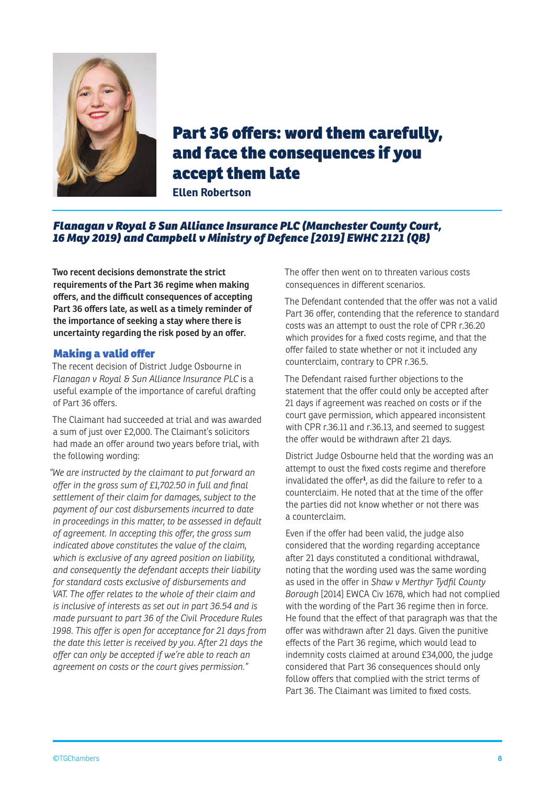

## Part 36 offers: word them carefully, and face the consequences if you accept them late

**Ellen Robertson**

#### *Flanagan v Royal & Sun Alliance Insurance PLC (Manchester County Court, 16 May 2019) and Campbell v Ministry of Defence [2019] EWHC 2121 (QB)*

**Two recent decisions demonstrate the strict requirements of the Part 36 regime when making offers, and the difficult consequences of accepting Part 36 offers late, as well as a timely reminder of the importance of seeking a stay where there is uncertainty regarding the risk posed by an offer.**

#### Making a valid offer

The recent decision of District Judge Osbourne in *Flanagan v Royal & Sun Alliance Insurance PLC* is a useful example of the importance of careful drafting of Part 36 offers.

The Claimant had succeeded at trial and was awarded a sum of just over £2,000. The Claimant's solicitors had made an offer around two years before trial, with the following wording:

*"We are instructed by the claimant to put forward an offer in the gross sum of £1,702.50 in full and final settlement of their claim for damages, subject to the payment of our cost disbursements incurred to date in proceedings in this matter, to be assessed in default of agreement. In accepting this offer, the gross sum indicated above constitutes the value of the claim, which is exclusive of any agreed position on liability, and consequently the defendant accepts their liability for standard costs exclusive of disbursements and VAT. The offer relates to the whole of their claim and is inclusive of interests as set out in part 36.54 and is made pursuant to part 36 of the Civil Procedure Rules 1998. This offer is open for acceptance for 21 days from the date this letter is received by you. After 21 days the offer can only be accepted if we're able to reach an agreement on costs or the court gives permission."*

The offer then went on to threaten various costs consequences in different scenarios.

The Defendant contended that the offer was not a valid Part 36 offer, contending that the reference to standard costs was an attempt to oust the role of CPR r.36.20 which provides for a fixed costs regime, and that the offer failed to state whether or not it included any counterclaim, contrary to CPR r.36.5.

The Defendant raised further objections to the statement that the offer could only be accepted after 21 days if agreement was reached on costs or if the court gave permission, which appeared inconsistent with CPR r.36.11 and r.36.13, and seemed to suggest the offer would be withdrawn after 21 days.

District Judge Osbourne held that the wording was an attempt to oust the fixed costs regime and therefore invalidated the offer**<sup>1</sup>** , as did the failure to refer to a counterclaim. He noted that at the time of the offer the parties did not know whether or not there was a counterclaim.

Even if the offer had been valid, the judge also considered that the wording regarding acceptance after 21 days constituted a conditional withdrawal, noting that the wording used was the same wording as used in the offer in *Shaw v Merthyr Tydfil County Borough* [2014] EWCA Civ 1678, which had not complied with the wording of the Part 36 regime then in force. He found that the effect of that paragraph was that the offer was withdrawn after 21 days. Given the punitive effects of the Part 36 regime, which would lead to indemnity costs claimed at around £34,000, the judge considered that Part 36 consequences should only follow offers that complied with the strict terms of Part 36. The Claimant was limited to fixed costs.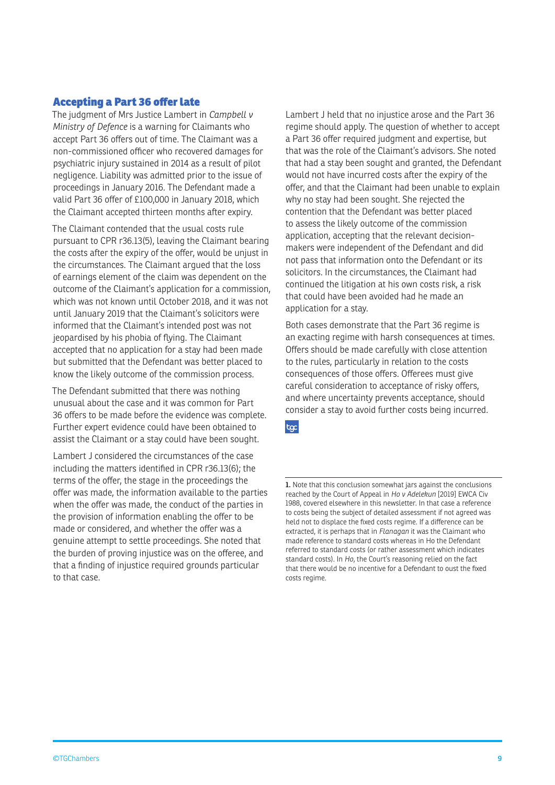#### Accepting a Part 36 offer late

The judgment of Mrs Justice Lambert in *Campbell v Ministry of Defence* is a warning for Claimants who accept Part 36 offers out of time. The Claimant was a non-commissioned officer who recovered damages for psychiatric injury sustained in 2014 as a result of pilot negligence. Liability was admitted prior to the issue of proceedings in January 2016. The Defendant made a valid Part 36 offer of £100,000 in January 2018, which the Claimant accepted thirteen months after expiry.

The Claimant contended that the usual costs rule pursuant to CPR r36.13(5), leaving the Claimant bearing the costs after the expiry of the offer, would be unjust in the circumstances. The Claimant argued that the loss of earnings element of the claim was dependent on the outcome of the Claimant's application for a commission, which was not known until October 2018, and it was not until January 2019 that the Claimant's solicitors were informed that the Claimant's intended post was not jeopardised by his phobia of flying. The Claimant accepted that no application for a stay had been made but submitted that the Defendant was better placed to know the likely outcome of the commission process.

The Defendant submitted that there was nothing unusual about the case and it was common for Part 36 offers to be made before the evidence was complete. Further expert evidence could have been obtained to assist the Claimant or a stay could have been sought.

Lambert J considered the circumstances of the case including the matters identified in CPR r36.13(6); the terms of the offer, the stage in the proceedings the offer was made, the information available to the parties when the offer was made, the conduct of the parties in the provision of information enabling the offer to be made or considered, and whether the offer was a genuine attempt to settle proceedings. She noted that the burden of proving injustice was on the offeree, and that a finding of injustice required grounds particular to that case.

Lambert J held that no injustice arose and the Part 36 regime should apply. The question of whether to accept a Part 36 offer required judgment and expertise, but that was the role of the Claimant's advisors. She noted that had a stay been sought and granted, the Defendant would not have incurred costs after the expiry of the offer, and that the Claimant had been unable to explain why no stay had been sought. She rejected the contention that the Defendant was better placed to assess the likely outcome of the commission application, accepting that the relevant decisionmakers were independent of the Defendant and did not pass that information onto the Defendant or its solicitors. In the circumstances, the Claimant had continued the litigation at his own costs risk, a risk that could have been avoided had he made an application for a stay.

Both cases demonstrate that the Part 36 regime is an exacting regime with harsh consequences at times. Offers should be made carefully with close attention to the rules, particularly in relation to the costs consequences of those offers. Offerees must give careful consideration to acceptance of risky offers, and where uncertainty prevents acceptance, should consider a stay to avoid further costs being incurred.

toc

**<sup>1.</sup>** Note that this conclusion somewhat jars against the conclusions reached by the Court of Appeal in *Ho v Adelekun* [2019] EWCA Civ 1988, covered elsewhere in this newsletter. In that case a reference to costs being the subject of detailed assessment if not agreed was held not to displace the fixed costs regime. If a difference can be extracted, it is perhaps that in *Flanagan* it was the Claimant who made reference to standard costs whereas in Ho the Defendant referred to standard costs (or rather assessment which indicates standard costs). In *Ho*, the Court's reasoning relied on the fact that there would be no incentive for a Defendant to oust the fixed costs regime.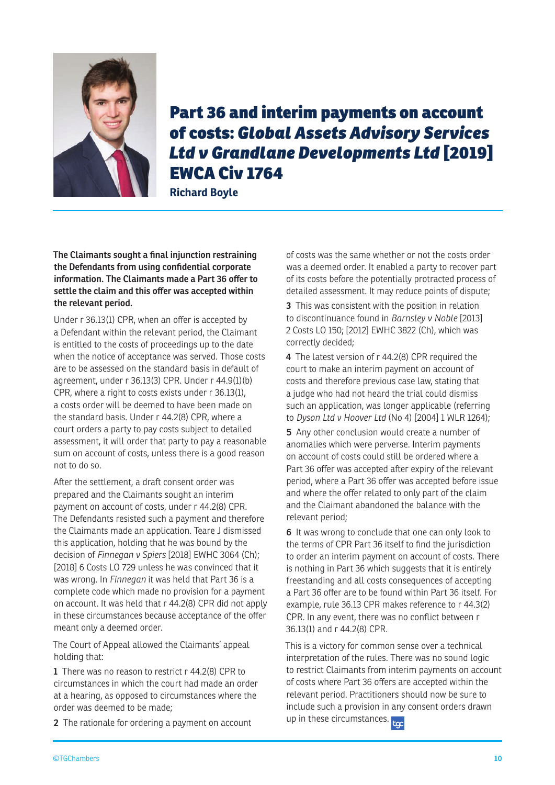

## Part 36 and interim payments on account of costs: *Global Assets Advisory Services Ltd v Grandlane Developments Ltd* [2019] EWCA Civ 1764

**Richard Boyle** 

**The Claimants sought a final injunction restraining the Defendants from using confidential corporate information. The Claimants made a Part 36 offer to settle the claim and this offer was accepted within the relevant period.**

Under r 36.13(1) CPR, when an offer is accepted by a Defendant within the relevant period, the Claimant is entitled to the costs of proceedings up to the date when the notice of acceptance was served. Those costs are to be assessed on the standard basis in default of agreement, under r 36.13(3) CPR. Under r 44.9(1)(b) CPR, where a right to costs exists under r 36.13(1), a costs order will be deemed to have been made on the standard basis. Under r 44.2(8) CPR, where a court orders a party to pay costs subject to detailed assessment, it will order that party to pay a reasonable sum on account of costs, unless there is a good reason not to do so.

After the settlement, a draft consent order was prepared and the Claimants sought an interim payment on account of costs, under r 44.2(8) CPR. The Defendants resisted such a payment and therefore the Claimants made an application. Teare J dismissed this application, holding that he was bound by the decision of *Finnegan v Spiers* [2018] EWHC 3064 (Ch); [2018] 6 Costs LO 729 unless he was convinced that it was wrong. In *Finnegan* it was held that Part 36 is a complete code which made no provision for a payment on account. It was held that r 44.2(8) CPR did not apply in these circumstances because acceptance of the offer meant only a deemed order.

The Court of Appeal allowed the Claimants' appeal holding that:

**1** There was no reason to restrict r 44.2(8) CPR to circumstances in which the court had made an order at a hearing, as opposed to circumstances where the order was deemed to be made;

**2** The rationale for ordering a payment on account

of costs was the same whether or not the costs order was a deemed order. It enabled a party to recover part of its costs before the potentially protracted process of detailed assessment. It may reduce points of dispute;

**3** This was consistent with the position in relation to discontinuance found in *Barnsley v Noble* [2013] 2 Costs LO 150; [2012] EWHC 3822 (Ch), which was correctly decided;

**4** The latest version of r 44.2(8) CPR required the court to make an interim payment on account of costs and therefore previous case law, stating that a judge who had not heard the trial could dismiss such an application, was longer applicable (referring to *Dyson Ltd v Hoover Ltd* (No 4) [2004] 1 WLR 1264);

**5** Any other conclusion would create a number of anomalies which were perverse. Interim payments on account of costs could still be ordered where a Part 36 offer was accepted after expiry of the relevant period, where a Part 36 offer was accepted before issue and where the offer related to only part of the claim and the Claimant abandoned the balance with the relevant period;

**6** It was wrong to conclude that one can only look to the terms of CPR Part 36 itself to find the jurisdiction to order an interim payment on account of costs. There is nothing in Part 36 which suggests that it is entirely freestanding and all costs consequences of accepting a Part 36 offer are to be found within Part 36 itself. For example, rule 36.13 CPR makes reference to r 44.3(2) CPR. In any event, there was no conflict between r 36.13(1) and r 44.2(8) CPR.

This is a victory for common sense over a technical interpretation of the rules. There was no sound logic to restrict Claimants from interim payments on account of costs where Part 36 offers are accepted within the relevant period. Practitioners should now be sure to include such a provision in any consent orders drawn up in these circumstances.  $\frac{1}{2}$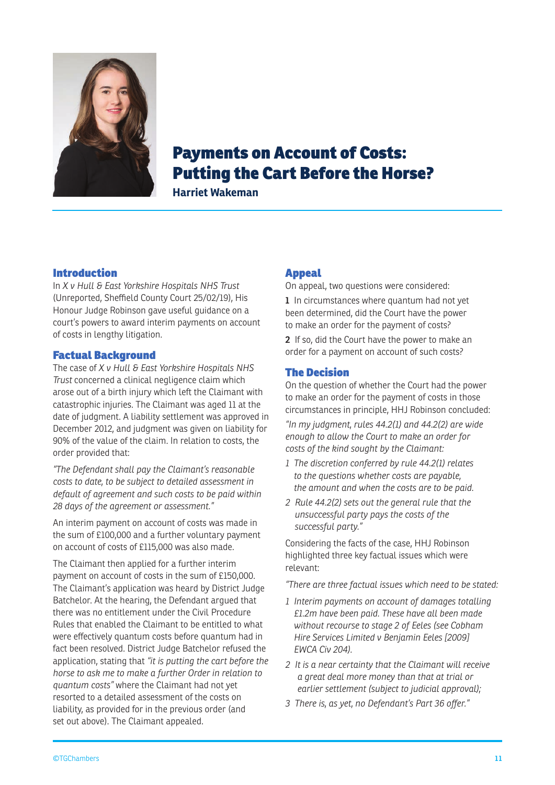

## Payments on Account of Costs: Putting the Cart Before the Horse?

**Harriet Wakeman**

#### Introduction

In *X v Hull & East Yorkshire Hospitals NHS Trust* (Unreported, Sheffield County Court 25/02/19), His Honour Judge Robinson gave useful guidance on a court's powers to award interim payments on account of costs in lengthy litigation.

#### Factual Background

The case of *X v Hull & East Yorkshire Hospitals NHS Trust* concerned a clinical negligence claim which arose out of a birth injury which left the Claimant with catastrophic injuries. The Claimant was aged 11 at the date of judgment. A liability settlement was approved in December 2012, and judgment was given on liability for 90% of the value of the claim. In relation to costs, the order provided that:

*"The Defendant shall pay the Claimant's reasonable costs to date, to be subject to detailed assessment in default of agreement and such costs to be paid within 28 days of the agreement or assessment."* 

An interim payment on account of costs was made in the sum of £100,000 and a further voluntary payment on account of costs of £115,000 was also made.

The Claimant then applied for a further interim payment on account of costs in the sum of £150,000. The Claimant's application was heard by District Judge Batchelor. At the hearing, the Defendant argued that there was no entitlement under the Civil Procedure Rules that enabled the Claimant to be entitled to what were effectively quantum costs before quantum had in fact been resolved. District Judge Batchelor refused the application, stating that *"it is putting the cart before the horse to ask me to make a further Order in relation to quantum costs"* where the Claimant had not yet resorted to a detailed assessment of the costs on liability, as provided for in the previous order (and set out above). The Claimant appealed.

#### Appeal

On appeal, two questions were considered:

**1** In circumstances where quantum had not yet been determined, did the Court have the power to make an order for the payment of costs?

**2** If so, did the Court have the power to make an order for a payment on account of such costs?

#### The Decision

On the question of whether the Court had the power to make an order for the payment of costs in those circumstances in principle, HHJ Robinson concluded:

*"In my judgment, rules 44.2(1) and 44.2(2) are wide enough to allow the Court to make an order for costs of the kind sought by the Claimant:*

- *1 The discretion conferred by rule 44.2(1) relates to the questions whether costs are payable, the amount and when the costs are to be paid.*
- *2 Rule 44.2(2) sets out the general rule that the unsuccessful party pays the costs of the successful party."*

Considering the facts of the case, HHJ Robinson highlighted three key factual issues which were relevant:

*"There are three factual issues which need to be stated:*

- *1 Interim payments on account of damages totalling £1.2m have been paid. These have all been made without recourse to stage 2 of Eeles (see Cobham Hire Services Limited v Benjamin Eeles [2009] EWCA Civ 204).*
- *2 It is a near certainty that the Claimant will receive a great deal more money than that at trial or earlier settlement (subject to judicial approval);*
- *3 There is, as yet, no Defendant's Part 36 offer."*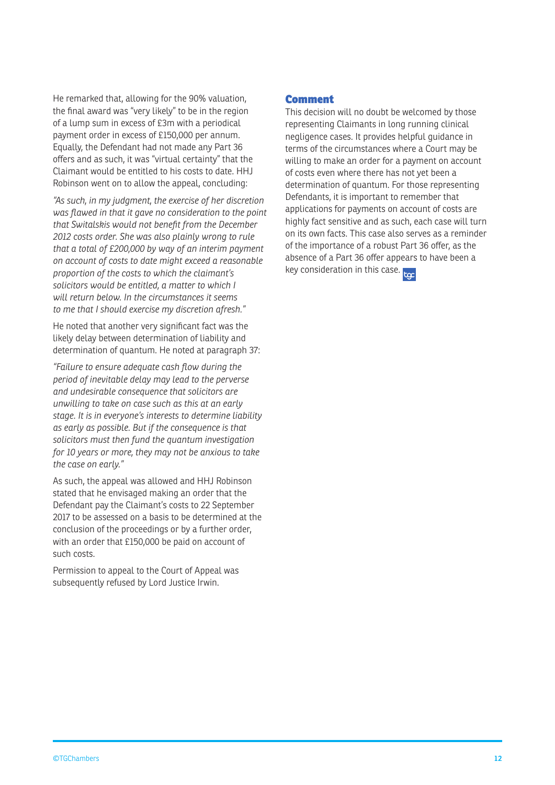He remarked that, allowing for the 90% valuation, the final award was "very likely" to be in the region of a lump sum in excess of £3m with a periodical payment order in excess of £150,000 per annum. Equally, the Defendant had not made any Part 36 offers and as such, it was "virtual certainty" that the Claimant would be entitled to his costs to date. HHJ Robinson went on to allow the appeal, concluding:

*"As such, in my judgment, the exercise of her discretion was flawed in that it gave no consideration to the point that Switalskis would not benefit from the December 2012 costs order. She was also plainly wrong to rule that a total of £200,000 by way of an interim payment on account of costs to date might exceed a reasonable proportion of the costs to which the claimant's solicitors would be entitled, a matter to which I will return below. In the circumstances it seems to me that I should exercise my discretion afresh."*

He noted that another very significant fact was the likely delay between determination of liability and determination of quantum. He noted at paragraph 37:

*"Failure to ensure adequate cash flow during the period of inevitable delay may lead to the perverse and undesirable consequence that solicitors are unwilling to take on case such as this at an early stage. It is in everyone's interests to determine liability as early as possible. But if the consequence is that solicitors must then fund the quantum investigation for 10 years or more, they may not be anxious to take the case on early."*

As such, the appeal was allowed and HHJ Robinson stated that he envisaged making an order that the Defendant pay the Claimant's costs to 22 September 2017 to be assessed on a basis to be determined at the conclusion of the proceedings or by a further order, with an order that £150,000 be paid on account of such costs.

Permission to appeal to the Court of Appeal was subsequently refused by Lord Justice Irwin.

#### Comment

This decision will no doubt be welcomed by those representing Claimants in long running clinical negligence cases. It provides helpful guidance in terms of the circumstances where a Court may be willing to make an order for a payment on account of costs even where there has not yet been a determination of quantum. For those representing Defendants, it is important to remember that applications for payments on account of costs are highly fact sensitive and as such, each case will turn on its own facts. This case also serves as a reminder of the importance of a robust Part 36 offer, as the absence of a Part 36 offer appears to have been a key consideration in this case. <sub>Foc</sub>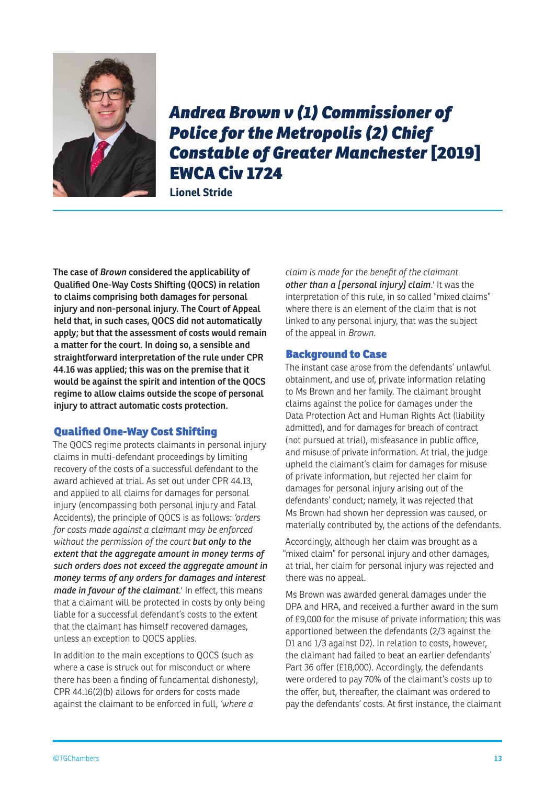

## *Andrea Brown v (1) Commissioner of Police for the Metropolis (2) Chief Constable of Greater Manchester* [2019] EWCA Civ 1724

**Lionel Stride**

**The case of** *Brown* **considered the applicability of Qualified One-Way Costs Shifting (QOCS) in relation to claims comprising both damages for personal injury and non-personal injury. The Court of Appeal held that, in such cases, QOCS did not automatically apply; but that the assessment of costs would remain a matter for the court. In doing so, a sensible and straightforward interpretation of the rule under CPR 44.16 was applied; this was on the premise that it would be against the spirit and intention of the QOCS regime to allow claims outside the scope of personal injury to attract automatic costs protection.** 

#### Qualified One-Way Cost Shifting

The QOCS regime protects claimants in personal injury claims in multi-defendant proceedings by limiting recovery of the costs of a successful defendant to the award achieved at trial. As set out under CPR 44.13, and applied to all claims for damages for personal injury (encompassing both personal injury and Fatal Accidents), the principle of QOCS is as follows: *'orders for costs made against a claimant may be enforced without the permission of the court but only to the extent that the aggregate amount in money terms of such orders does not exceed the aggregate amount in money terms of any orders for damages and interest made in favour of the claimant.*' In effect, this means that a claimant will be protected in costs by only being liable for a successful defendant's costs to the extent that the claimant has himself recovered damages, unless an exception to QOCS applies.

In addition to the main exceptions to QOCS (such as where a case is struck out for misconduct or where there has been a finding of fundamental dishonesty), CPR 44.16(2)(b) allows for orders for costs made against the claimant to be enforced in full, *'where a* 

*claim is made for the benefit of the claimant other than a [personal injury] claim.*' It was the interpretation of this rule, in so called "mixed claims" where there is an element of the claim that is not linked to any personal injury, that was the subject of the appeal in *Brown*.

#### Background to Case

The instant case arose from the defendants' unlawful obtainment, and use of, private information relating to Ms Brown and her family. The claimant brought claims against the police for damages under the Data Protection Act and Human Rights Act (liability admitted), and for damages for breach of contract (not pursued at trial), misfeasance in public office, and misuse of private information. At trial, the judge upheld the claimant's claim for damages for misuse of private information, but rejected her claim for damages for personal injury arising out of the defendants' conduct; namely, it was rejected that Ms Brown had shown her depression was caused, or materially contributed by, the actions of the defendants.

Accordingly, although her claim was brought as a "mixed claim" for personal injury and other damages, at trial, her claim for personal injury was rejected and there was no appeal.

Ms Brown was awarded general damages under the DPA and HRA, and received a further award in the sum of £9,000 for the misuse of private information; this was apportioned between the defendants (2/3 against the D1 and 1/3 against D2). In relation to costs, however, the claimant had failed to beat an earlier defendants' Part 36 offer (£18,000). Accordingly, the defendants were ordered to pay 70% of the claimant's costs up to the offer, but, thereafter, the claimant was ordered to pay the defendants' costs. At first instance, the claimant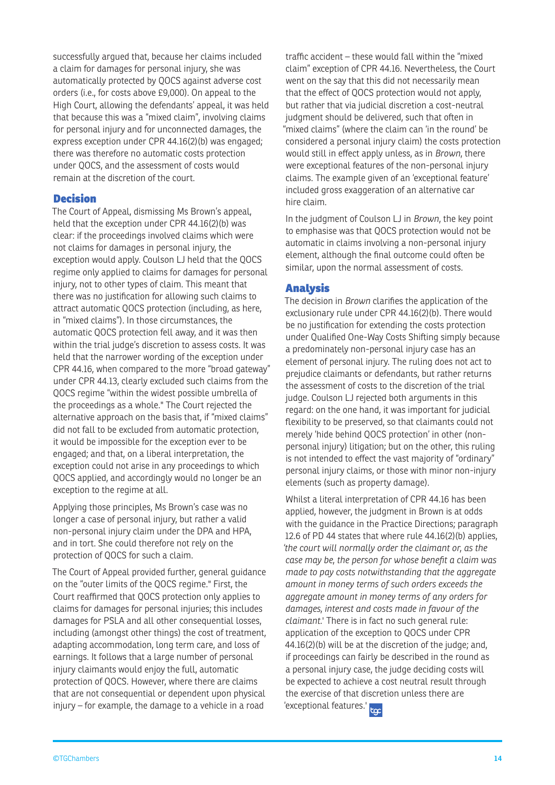successfully argued that, because her claims included a claim for damages for personal injury, she was automatically protected by QOCS against adverse cost orders (i.e., for costs above £9,000). On appeal to the High Court, allowing the defendants' appeal, it was held that because this was a "mixed claim", involving claims for personal injury and for unconnected damages, the express exception under CPR 44.16(2)(b) was engaged; there was therefore no automatic costs protection under QOCS, and the assessment of costs would remain at the discretion of the court.

#### Decision

The Court of Appeal, dismissing Ms Brown's appeal, held that the exception under CPR 44.16(2)(b) was clear: if the proceedings involved claims which were not claims for damages in personal injury, the exception would apply. Coulson LJ held that the QOCS regime only applied to claims for damages for personal injury, not to other types of claim. This meant that there was no justification for allowing such claims to attract automatic QOCS protection (including, as here, in "mixed claims"). In those circumstances, the automatic QOCS protection fell away, and it was then within the trial judge's discretion to assess costs. It was held that the narrower wording of the exception under CPR 44.16, when compared to the more "broad gateway" under CPR 44.13, clearly excluded such claims from the QOCS regime "within the widest possible umbrella of the proceedings as a whole." The Court rejected the alternative approach on the basis that, if "mixed claims" did not fall to be excluded from automatic protection, it would be impossible for the exception ever to be engaged; and that, on a liberal interpretation, the exception could not arise in any proceedings to which QOCS applied, and accordingly would no longer be an exception to the regime at all.

Applying those principles, Ms Brown's case was no longer a case of personal injury, but rather a valid non-personal injury claim under the DPA and HPA, and in tort. She could therefore not rely on the protection of QOCS for such a claim.

The Court of Appeal provided further, general guidance on the "outer limits of the QOCS regime." First, the Court reaffirmed that QOCS protection only applies to claims for damages for personal injuries; this includes damages for PSLA and all other consequential losses, including (amongst other things) the cost of treatment, adapting accommodation, long term care, and loss of earnings. It follows that a large number of personal injury claimants would enjoy the full, automatic protection of QOCS. However, where there are claims that are not consequential or dependent upon physical injury – for example, the damage to a vehicle in a road

traffic accident – these would fall within the "mixed claim" exception of CPR 44.16. Nevertheless, the Court went on the say that this did not necessarily mean that the effect of QOCS protection would not apply, but rather that via judicial discretion a cost-neutral judgment should be delivered, such that often in "mixed claims" (where the claim can 'in the round' be considered a personal injury claim) the costs protection would still in effect apply unless, as in *Brown*, there were exceptional features of the non-personal injury claims. The example given of an 'exceptional feature' included gross exaggeration of an alternative car hire claim.

In the judgment of Coulson LJ in *Brown*, the key point to emphasise was that QOCS protection would not be automatic in claims involving a non-personal injury element, although the final outcome could often be similar, upon the normal assessment of costs.

#### Analysis

The decision in *Brown* clarifies the application of the exclusionary rule under CPR 44.16(2)(b). There would be no justification for extending the costs protection under Qualified One-Way Costs Shifting simply because a predominately non-personal injury case has an element of personal injury. The ruling does not act to prejudice claimants or defendants, but rather returns the assessment of costs to the discretion of the trial judge. Coulson LJ rejected both arguments in this regard: on the one hand, it was important for judicial flexibility to be preserved, so that claimants could not merely 'hide behind QOCS protection' in other (nonpersonal injury) litigation; but on the other, this ruling is not intended to effect the vast majority of "ordinary" personal injury claims, or those with minor non-injury elements (such as property damage).

Whilst a literal interpretation of CPR 44.16 has been applied, however, the judgment in Brown is at odds with the guidance in the Practice Directions; paragraph 12.6 of PD 44 states that where rule 44.16(2)(b) applies, *'the court will normally order the claimant or, as the case may be, the person for whose benefit a claim was made to pay costs notwithstanding that the aggregate amount in money terms of such orders exceeds the aggregate amount in money terms of any orders for damages, interest and costs made in favour of the claimant.*' There is in fact no such general rule: application of the exception to QOCS under CPR 44.16(2)(b) will be at the discretion of the judge; and, if proceedings can fairly be described in the round as a personal injury case, the judge deciding costs will be expected to achieve a cost neutral result through the exercise of that discretion unless there are 'exceptional features.' <mark>toc</mark>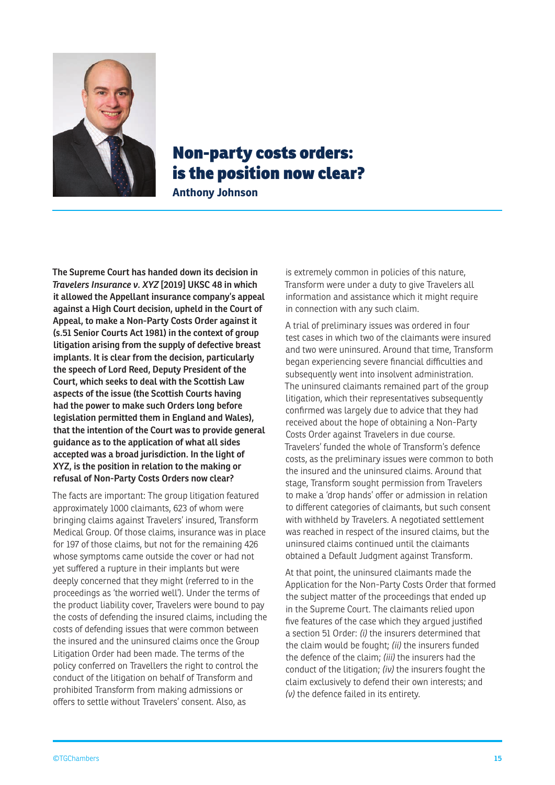

## Non-party costs orders: is the position now clear?

**Anthony Johnson**

**The Supreme Court has handed down its decision in**  *Travelers Insurance v. XYZ* **[2019] UKSC 48 in which it allowed the Appellant insurance company's appeal against a High Court decision, upheld in the Court of Appeal, to make a Non-Party Costs Order against it (s.51 Senior Courts Act 1981) in the context of group litigation arising from the supply of defective breast implants. It is clear from the decision, particularly the speech of Lord Reed, Deputy President of the Court, which seeks to deal with the Scottish Law aspects of the issue (the Scottish Courts having had the power to make such Orders long before legislation permitted them in England and Wales), that the intention of the Court was to provide general guidance as to the application of what all sides accepted was a broad jurisdiction. In the light of XYZ, is the position in relation to the making or refusal of Non-Party Costs Orders now clear?** 

The facts are important: The group litigation featured approximately 1000 claimants, 623 of whom were bringing claims against Travelers' insured, Transform Medical Group. Of those claims, insurance was in place for 197 of those claims, but not for the remaining 426 whose symptoms came outside the cover or had not yet suffered a rupture in their implants but were deeply concerned that they might (referred to in the proceedings as 'the worried well'). Under the terms of the product liability cover, Travelers were bound to pay the costs of defending the insured claims, including the costs of defending issues that were common between the insured and the uninsured claims once the Group Litigation Order had been made. The terms of the policy conferred on Travellers the right to control the conduct of the litigation on behalf of Transform and prohibited Transform from making admissions or offers to settle without Travelers' consent. Also, as

is extremely common in policies of this nature, Transform were under a duty to give Travelers all information and assistance which it might require in connection with any such claim.

A trial of preliminary issues was ordered in four test cases in which two of the claimants were insured and two were uninsured. Around that time, Transform began experiencing severe financial difficulties and subsequently went into insolvent administration. The uninsured claimants remained part of the group litigation, which their representatives subsequently confirmed was largely due to advice that they had received about the hope of obtaining a Non-Party Costs Order against Travelers in due course. Travelers' funded the whole of Transform's defence costs, as the preliminary issues were common to both the insured and the uninsured claims. Around that stage, Transform sought permission from Travelers to make a 'drop hands' offer or admission in relation to different categories of claimants, but such consent with withheld by Travelers. A negotiated settlement was reached in respect of the insured claims, but the uninsured claims continued until the claimants obtained a Default Judgment against Transform.

At that point, the uninsured claimants made the Application for the Non-Party Costs Order that formed the subject matter of the proceedings that ended up in the Supreme Court. The claimants relied upon five features of the case which they argued justified a section 51 Order: *(i)* the insurers determined that the claim would be fought; *(ii)* the insurers funded the defence of the claim; *(iii)* the insurers had the conduct of the litigation; *(iv)* the insurers fought the claim exclusively to defend their own interests; and *(v)* the defence failed in its entirety.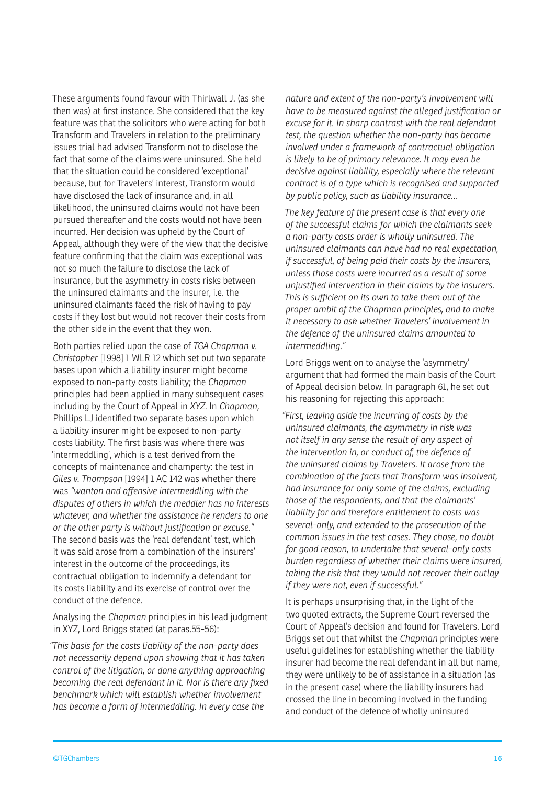These arguments found favour with Thirlwall J. (as she then was) at first instance. She considered that the key feature was that the solicitors who were acting for both Transform and Travelers in relation to the preliminary issues trial had advised Transform not to disclose the fact that some of the claims were uninsured. She held that the situation could be considered 'exceptional' because, but for Travelers' interest, Transform would have disclosed the lack of insurance and, in all likelihood, the uninsured claims would not have been pursued thereafter and the costs would not have been incurred. Her decision was upheld by the Court of Appeal, although they were of the view that the decisive feature confirming that the claim was exceptional was not so much the failure to disclose the lack of insurance, but the asymmetry in costs risks between the uninsured claimants and the insurer, i.e. the uninsured claimants faced the risk of having to pay costs if they lost but would not recover their costs from the other side in the event that they won.

Both parties relied upon the case of *TGA Chapman v. Christopher* [1998] 1 WLR 12 which set out two separate bases upon which a liability insurer might become exposed to non-party costs liability; the *Chapman* principles had been applied in many subsequent cases including by the Court of Appeal in *XYZ*. In *Chapman*, Phillips LJ identified two separate bases upon which a liability insurer might be exposed to non-party costs liability. The first basis was where there was 'intermeddling', which is a test derived from the concepts of maintenance and champerty: the test in *Giles v. Thompson* [1994] 1 AC 142 was whether there was *"wanton and offensive intermeddling with the disputes of others in which the meddler has no interests whatever, and whether the assistance he renders to one or the other party is without justification or excuse."*  The second basis was the 'real defendant' test, which it was said arose from a combination of the insurers' interest in the outcome of the proceedings, its contractual obligation to indemnify a defendant for its costs liability and its exercise of control over the conduct of the defence.

Analysing the *Chapman* principles in his lead judgment in XYZ, Lord Briggs stated (at paras.55-56):

*"This basis for the costs liability of the non-party does not necessarily depend upon showing that it has taken control of the litigation, or done anything approaching becoming the real defendant in it. Nor is there any fixed benchmark which will establish whether involvement has become a form of intermeddling. In every case the* 

*nature and extent of the non-party's involvement will have to be measured against the alleged justification or excuse for it. In sharp contrast with the real defendant test, the question whether the non-party has become involved under a framework of contractual obligation is likely to be of primary relevance. It may even be decisive against liability, especially where the relevant contract is of a type which is recognised and supported by public policy, such as liability insurance…*

*The key feature of the present case is that every one of the successful claims for which the claimants seek a non-party costs order is wholly uninsured. The uninsured claimants can have had no real expectation, if successful, of being paid their costs by the insurers, unless those costs were incurred as a result of some unjustified intervention in their claims by the insurers. This is sufficient on its own to take them out of the proper ambit of the Chapman principles, and to make it necessary to ask whether Travelers' involvement in the defence of the uninsured claims amounted to intermeddling."*

Lord Briggs went on to analyse the 'asymmetry' argument that had formed the main basis of the Court of Appeal decision below. In paragraph 61, he set out his reasoning for rejecting this approach:

*"First, leaving aside the incurring of costs by the uninsured claimants, the asymmetry in risk was not itself in any sense the result of any aspect of the intervention in, or conduct of, the defence of the uninsured claims by Travelers. It arose from the combination of the facts that Transform was insolvent, had insurance for only some of the claims, excluding those of the respondents, and that the claimants' liability for and therefore entitlement to costs was several-only, and extended to the prosecution of the common issues in the test cases. They chose, no doubt for good reason, to undertake that several-only costs burden regardless of whether their claims were insured, taking the risk that they would not recover their outlay if they were not, even if successful."*

It is perhaps unsurprising that, in the light of the two quoted extracts, the Supreme Court reversed the Court of Appeal's decision and found for Travelers. Lord Briggs set out that whilst the *Chapman* principles were useful guidelines for establishing whether the liability insurer had become the real defendant in all but name, they were unlikely to be of assistance in a situation (as in the present case) where the liability insurers had crossed the line in becoming involved in the funding and conduct of the defence of wholly uninsured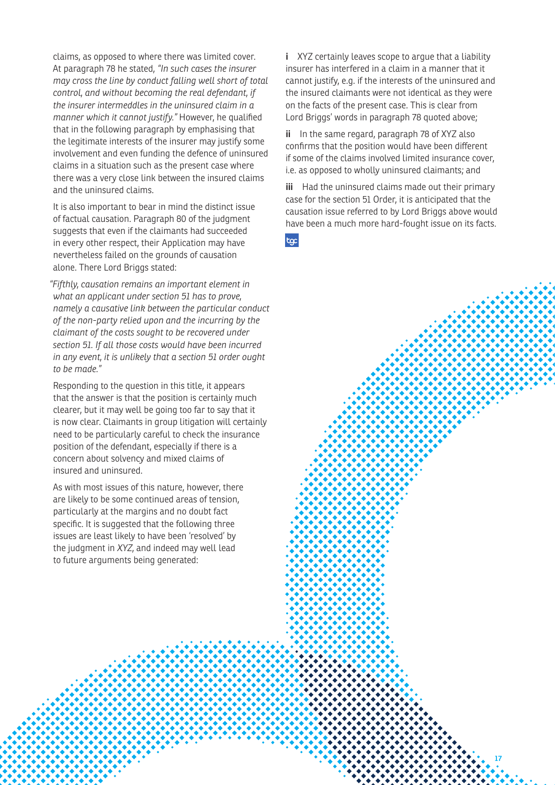claims, as opposed to where there was limited cover. At paragraph 78 he stated, *"In such cases the insurer may cross the line by conduct falling well short of total control, and without becoming the real defendant, if the insurer intermeddles in the uninsured claim in a manner which it cannot justify."* However, he qualified that in the following paragraph by emphasising that the legitimate interests of the insurer may justify some involvement and even funding the defence of uninsured claims in a situation such as the present case where there was a very close link between the insured claims and the uninsured claims.

It is also important to bear in mind the distinct issue of factual causation. Paragraph 80 of the judgment suggests that even if the claimants had succeeded in every other respect, their Application may have nevertheless failed on the grounds of causation alone. There Lord Briggs stated:

*"Fifthly, causation remains an important element in what an applicant under section 51 has to prove, namely a causative link between the particular conduct of the non-party relied upon and the incurring by the claimant of the costs sought to be recovered under section 51. If all those costs would have been incurred in any event, it is unlikely that a section 51 order ought to be made."*

Responding to the question in this title, it appears that the answer is that the position is certainly much clearer, but it may well be going too far to say that it is now clear. Claimants in group litigation will certainly need to be particularly careful to check the insurance position of the defendant, especially if there is a concern about solvency and mixed claims of insured and uninsured.

As with most issues of this nature, however, there are likely to be some continued areas of tension, particularly at the margins and no doubt fact specific. It is suggested that the following three issues are least likely to have been 'resolved' by the judgment in *XYZ*, and indeed may well lead to future arguments being generated:

**i** XYZ certainly leaves scope to argue that a liability insurer has interfered in a claim in a manner that it cannot justify, e.g. if the interests of the uninsured and the insured claimants were not identical as they were on the facts of the present case. This is clear from Lord Briggs' words in paragraph 78 quoted above;

**ii** In the same regard, paragraph 78 of XYZ also confirms that the position would have been different if some of the claims involved limited insurance cover, i.e. as opposed to wholly uninsured claimants; and

**iii** Had the uninsured claims made out their primary case for the section 51 Order, it is anticipated that the causation issue referred to by Lord Briggs above would have been a much more hard-fought issue on its facts.

toc

©TGChambers **17**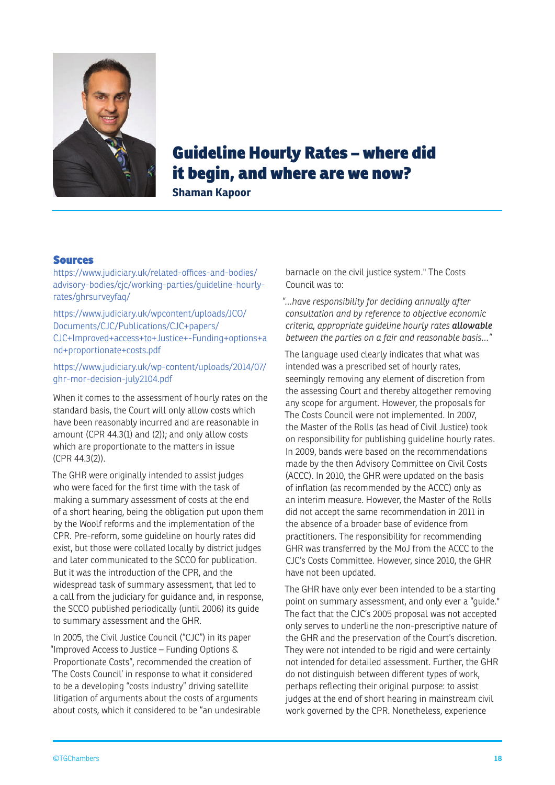

## Guideline Hourly Rates – where did it begin, and where are we now?

**Shaman Kapoor**

#### Sources

https://www.judiciary.uk/related-offices-and-bodies/ advisory-bodies/cjc/working-parties/guideline-hourlyrates/ghrsurveyfaq/

https://www.judiciary.uk/wpcontent/uploads/JCO/ Documents/CJC/Publications/CJC+papers/ CJC+Improved+access+to+Justice+-Funding+options+a nd+proportionate+costs.pdf

https://www.judiciary.uk/wp-content/uploads/2014/07/ ghr-mor-decision-july2104.pdf

When it comes to the assessment of hourly rates on the standard basis, the Court will only allow costs which have been reasonably incurred and are reasonable in amount (CPR 44.3(1) and (2)); and only allow costs which are proportionate to the matters in issue (CPR 44.3(2)).

The GHR were originally intended to assist judges who were faced for the first time with the task of making a summary assessment of costs at the end of a short hearing, being the obligation put upon them by the Woolf reforms and the implementation of the CPR. Pre-reform, some guideline on hourly rates did exist, but those were collated locally by district judges and later communicated to the SCCO for publication. But it was the introduction of the CPR, and the widespread task of summary assessment, that led to a call from the judiciary for guidance and, in response, the SCCO published periodically (until 2006) its guide to summary assessment and the GHR.

In 2005, the Civil Justice Council ("CJC") in its paper "Improved Access to Justice – Funding Options & Proportionate Costs", recommended the creation of 'The Costs Council' in response to what it considered to be a developing "costs industry" driving satellite litigation of arguments about the costs of arguments about costs, which it considered to be "an undesirable

barnacle on the civil justice system." The Costs Council was to:

*"…have responsibility for deciding annually after consultation and by reference to objective economic criteria, appropriate guideline hourly rates allowable between the parties on a fair and reasonable basis…"*

The language used clearly indicates that what was intended was a prescribed set of hourly rates, seemingly removing any element of discretion from the assessing Court and thereby altogether removing any scope for argument. However, the proposals for The Costs Council were not implemented. In 2007, the Master of the Rolls (as head of Civil Justice) took on responsibility for publishing guideline hourly rates. In 2009, bands were based on the recommendations made by the then Advisory Committee on Civil Costs (ACCC). In 2010, the GHR were updated on the basis of inflation (as recommended by the ACCC) only as an interim measure. However, the Master of the Rolls did not accept the same recommendation in 2011 in the absence of a broader base of evidence from practitioners. The responsibility for recommending GHR was transferred by the MoJ from the ACCC to the CJC's Costs Committee. However, since 2010, the GHR have not been updated.

The GHR have only ever been intended to be a starting point on summary assessment, and only ever a "guide." The fact that the CJC's 2005 proposal was not accepted only serves to underline the non-prescriptive nature of the GHR and the preservation of the Court's discretion. They were not intended to be rigid and were certainly not intended for detailed assessment. Further, the GHR do not distinguish between different types of work, perhaps reflecting their original purpose: to assist judges at the end of short hearing in mainstream civil work governed by the CPR. Nonetheless, experience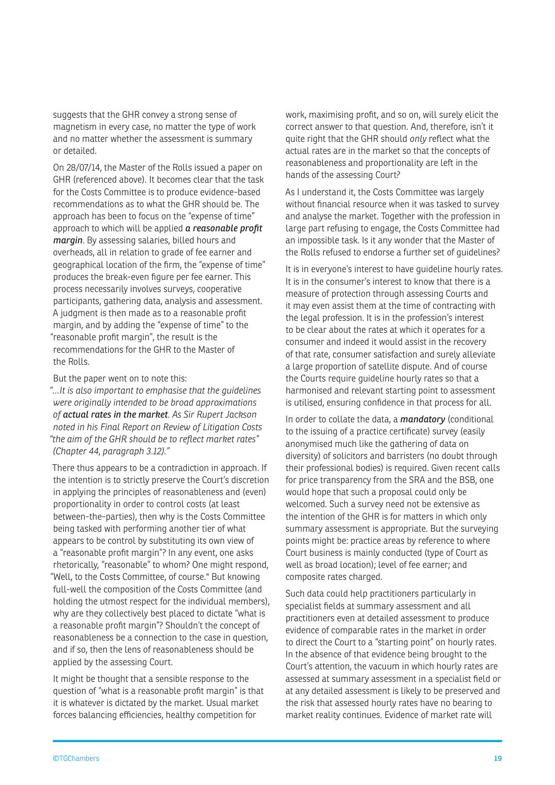suggests that the GHR convey a strong sense of magnetism in every case, no matter the type of work and no matter whether the assessment is summary or detailed.

On 28/07/14, the Master of the Rolls issued a paper on GHR (referenced above). It becomes clear that the task for the Costs Committee is to produce evidence-based recommendations as to what the GHR should be. The approach has been to focus on the "expense of time" approach to which will be applied *a reasonable profit margin*. By assessing salaries, billed hours and overheads, all in relation to grade of fee earner and geographical location of the firm, the "expense of time" produces the break-even figure per fee earner. This process necessarily involves surveys, cooperative participants, gathering data, analysis and assessment. A judgment is then made as to a reasonable profit margin, and by adding the "expense of time" to the "reasonable profit margin", the result is the recommendations for the GHR to the Master of the Rolls.

But the paper went on to note this:

*"…It is also important to emphasise that the guidelines were originally intended to be broad approximations of actual rates in the market. As Sir Rupert Jackson noted in his Final Report on Review of Litigation Costs "the aim of the GHR should be to reflect market rates" (Chapter 44, paragraph 3.12)."*

There thus appears to be a contradiction in approach. If the intention is to strictly preserve the Court's discretion in applying the principles of reasonableness and (even) proportionality in order to control costs (at least between-the-parties), then why is the Costs Committee being tasked with performing another tier of what appears to be control by substituting its own view of a "reasonable profit margin"? In any event, one asks rhetorically, "reasonable" to whom? One might respond, "Well, to the Costs Committee, of course." But knowing full-well the composition of the Costs Committee (and holding the utmost respect for the individual members), why are they collectively best placed to dictate "what is a reasonable profit margin"? Shouldn't the concept of reasonableness be a connection to the case in question, and if so, then the lens of reasonableness should be applied by the assessing Court.

It might be thought that a sensible response to the question of "what is a reasonable profit margin" is that it is whatever is dictated by the market. Usual market forces balancing efficiencies, healthy competition for

work, maximising profit, and so on, will surely elicit the correct answer to that question. And, therefore, isn't it quite right that the GHR should *only* reflect what the actual rates are in the market so that the concepts of reasonableness and proportionality are left in the hands of the assessing Court?

As I understand it, the Costs Committee was largely without financial resource when it was tasked to survey and analyse the market. Together with the profession in large part refusing to engage, the Costs Committee had an impossible task. Is it any wonder that the Master of the Rolls refused to endorse a further set of guidelines?

It is in everyone's interest to have guideline hourly rates. It is in the consumer's interest to know that there is a measure of protection through assessing Courts and it may even assist them at the time of contracting with the legal profession. It is in the profession's interest to be clear about the rates at which it operates for a consumer and indeed it would assist in the recovery of that rate, consumer satisfaction and surely alleviate a large proportion of satellite dispute. And of course the Courts require guideline hourly rates so that a harmonised and relevant starting point to assessment is utilised, ensuring confidence in that process for all.

In order to collate the data, a *mandatory* (conditional to the issuing of a practice certificate) survey (easily anonymised much like the gathering of data on diversity) of solicitors and barristers (no doubt through their professional bodies) is required. Given recent calls for price transparency from the SRA and the BSB, one would hope that such a proposal could only be welcomed. Such a survey need not be extensive as the intention of the GHR is for matters in which only summary assessment is appropriate. But the surveying points might be: practice areas by reference to where Court business is mainly conducted (type of Court as well as broad location); level of fee earner; and composite rates charged.

Such data could help practitioners particularly in specialist fields at summary assessment and all practitioners even at detailed assessment to produce evidence of comparable rates in the market in order to direct the Court to a "starting point" on hourly rates. In the absence of that evidence being brought to the Court's attention, the vacuum in which hourly rates are assessed at summary assessment in a specialist field or at any detailed assessment is likely to be preserved and the risk that assessed hourly rates have no bearing to market reality continues. Evidence of market rate will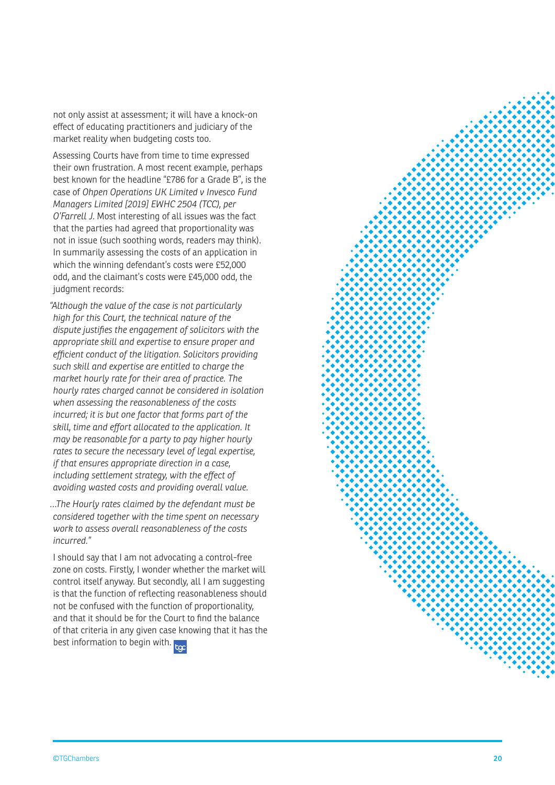not only assist at assessment; it will have a knock-on effect of educating practitioners and judiciary of the market reality when budgeting costs too.

Assessing Courts have from time to time expressed their own frustration. A most recent example, perhaps best known for the headline "£786 for a Grade B", is the case of *Ohpen Operations UK Limited v Invesco Fund Managers Limited [2019] EWHC 2504 (TCC), per O'Farrell J*. Most interesting of all issues was the fact that the parties had agreed that proportionality was not in issue (such soothing words, readers may think). In summarily assessing the costs of an application in which the winning defendant's costs were £52,000 odd, and the claimant's costs were £45,000 odd, the judgment records:

*"Although the value of the case is not particularly high for this Court, the technical nature of the dispute justifies the engagement of solicitors with the appropriate skill and expertise to ensure proper and efficient conduct of the litigation. Solicitors providing such skill and expertise are entitled to charge the market hourly rate for their area of practice. The hourly rates charged cannot be considered in isolation when assessing the reasonableness of the costs incurred; it is but one factor that forms part of the skill, time and effort allocated to the application. It may be reasonable for a party to pay higher hourly rates to secure the necessary level of legal expertise, if that ensures appropriate direction in a case, including settlement strategy, with the effect of avoiding wasted costs and providing overall value.*

*…The Hourly rates claimed by the defendant must be considered together with the time spent on necessary work to assess overall reasonableness of the costs incurred."*

I should say that I am not advocating a control-free zone on costs. Firstly, I wonder whether the market will control itself anyway. But secondly, all I am suggesting is that the function of reflecting reasonableness should not be confused with the function of proportionality, and that it should be for the Court to find the balance of that criteria in any given case knowing that it has the best information to begin with.

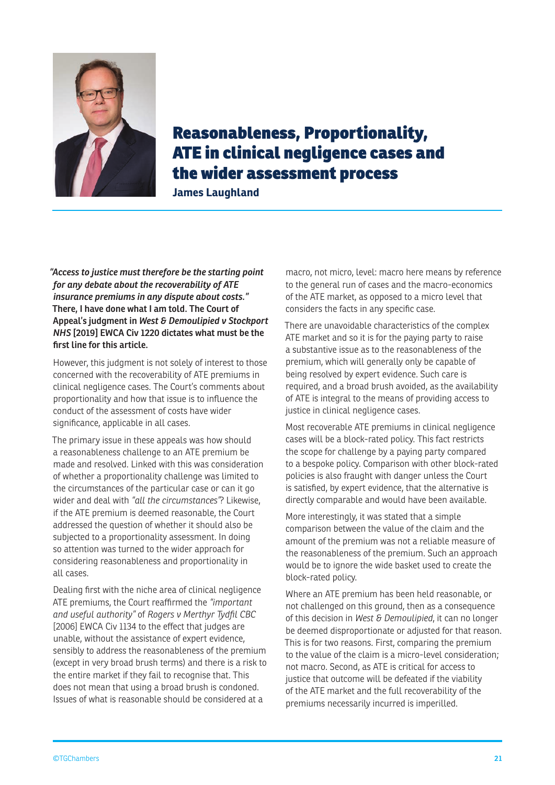

## Reasonableness, Proportionality, ATE in clinical negligence cases and the wider assessment process

**James Laughland**

*"Access to justice must therefore be the starting point for any debate about the recoverability of ATE insurance premiums in any dispute about costs."* **There, I have done what I am told. The Court of Appeal's judgment in** *West & Demoulipied v Stockport NHS* **[2019] EWCA Civ 1220 dictates what must be the first line for this article.** 

However, this judgment is not solely of interest to those concerned with the recoverability of ATE premiums in clinical negligence cases. The Court's comments about proportionality and how that issue is to influence the conduct of the assessment of costs have wider significance, applicable in all cases.

The primary issue in these appeals was how should a reasonableness challenge to an ATE premium be made and resolved. Linked with this was consideration of whether a proportionality challenge was limited to the circumstances of the particular case or can it go wider and deal with *"all the circumstances"*? Likewise, if the ATE premium is deemed reasonable, the Court addressed the question of whether it should also be subjected to a proportionality assessment. In doing so attention was turned to the wider approach for considering reasonableness and proportionality in all cases.

Dealing first with the niche area of clinical negligence ATE premiums, the Court reaffirmed the *"important and useful authority"* of *Rogers v Merthyr Tydfil CBC* [2006] EWCA Civ 1134 to the effect that judges are unable, without the assistance of expert evidence, sensibly to address the reasonableness of the premium (except in very broad brush terms) and there is a risk to the entire market if they fail to recognise that. This does not mean that using a broad brush is condoned. Issues of what is reasonable should be considered at a

macro, not micro, level: macro here means by reference to the general run of cases and the macro-economics of the ATE market, as opposed to a micro level that considers the facts in any specific case.

There are unavoidable characteristics of the complex ATE market and so it is for the paying party to raise a substantive issue as to the reasonableness of the premium, which will generally only be capable of being resolved by expert evidence. Such care is required, and a broad brush avoided, as the availability of ATE is integral to the means of providing access to justice in clinical negligence cases.

Most recoverable ATE premiums in clinical negligence cases will be a block-rated policy. This fact restricts the scope for challenge by a paying party compared to a bespoke policy. Comparison with other block-rated policies is also fraught with danger unless the Court is satisfied, by expert evidence, that the alternative is directly comparable and would have been available.

More interestingly, it was stated that a simple comparison between the value of the claim and the amount of the premium was not a reliable measure of the reasonableness of the premium. Such an approach would be to ignore the wide basket used to create the block-rated policy.

Where an ATE premium has been held reasonable, or not challenged on this ground, then as a consequence of this decision in *West & Demoulipied*, it can no longer be deemed disproportionate or adjusted for that reason. This is for two reasons. First, comparing the premium to the value of the claim is a micro-level consideration; not macro. Second, as ATE is critical for access to justice that outcome will be defeated if the viability of the ATE market and the full recoverability of the premiums necessarily incurred is imperilled.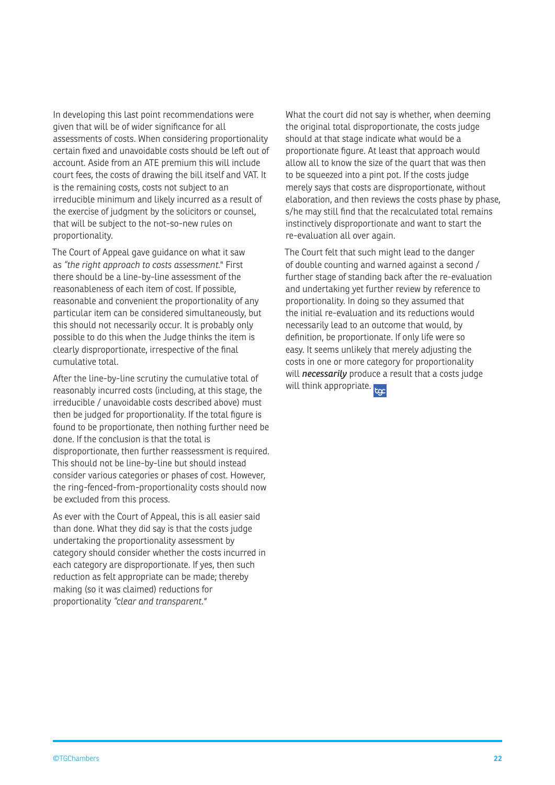In developing this last point recommendations were given that will be of wider significance for all assessments of costs. When considering proportionality certain fixed and unavoidable costs should be left out of account. Aside from an ATE premium this will include court fees, the costs of drawing the bill itself and VAT. It is the remaining costs, costs not subject to an irreducible minimum and likely incurred as a result of the exercise of judgment by the solicitors or counsel, that will be subject to the not-so-new rules on proportionality.

The Court of Appeal gave guidance on what it saw as *"the right approach to costs assessment.*" First there should be a line-by-line assessment of the reasonableness of each item of cost. If possible, reasonable and convenient the proportionality of any particular item can be considered simultaneously, but this should not necessarily occur. It is probably only possible to do this when the Judge thinks the item is clearly disproportionate, irrespective of the final cumulative total.

After the line-by-line scrutiny the cumulative total of reasonably incurred costs (including, at this stage, the irreducible / unavoidable costs described above) must then be judged for proportionality. If the total figure is found to be proportionate, then nothing further need be done. If the conclusion is that the total is disproportionate, then further reassessment is required. This should not be line-by-line but should instead consider various categories or phases of cost. However, the ring-fenced-from-proportionality costs should now be excluded from this process.

As ever with the Court of Appeal, this is all easier said than done. What they did say is that the costs judge undertaking the proportionality assessment by category should consider whether the costs incurred in each category are disproportionate. If yes, then such reduction as felt appropriate can be made; thereby making (so it was claimed) reductions for proportionality *"clear and transparent."*

What the court did not say is whether, when deeming the original total disproportionate, the costs judge should at that stage indicate what would be a proportionate figure. At least that approach would allow all to know the size of the quart that was then to be squeezed into a pint pot. If the costs judge merely says that costs are disproportionate, without elaboration, and then reviews the costs phase by phase, s/he may still find that the recalculated total remains instinctively disproportionate and want to start the re-evaluation all over again.

The Court felt that such might lead to the danger of double counting and warned against a second / further stage of standing back after the re-evaluation and undertaking yet further review by reference to proportionality. In doing so they assumed that the initial re-evaluation and its reductions would necessarily lead to an outcome that would, by definition, be proportionate. If only life were so easy. It seems unlikely that merely adjusting the costs in one or more category for proportionality will *necessarily* produce a result that a costs judge will think appropriate. to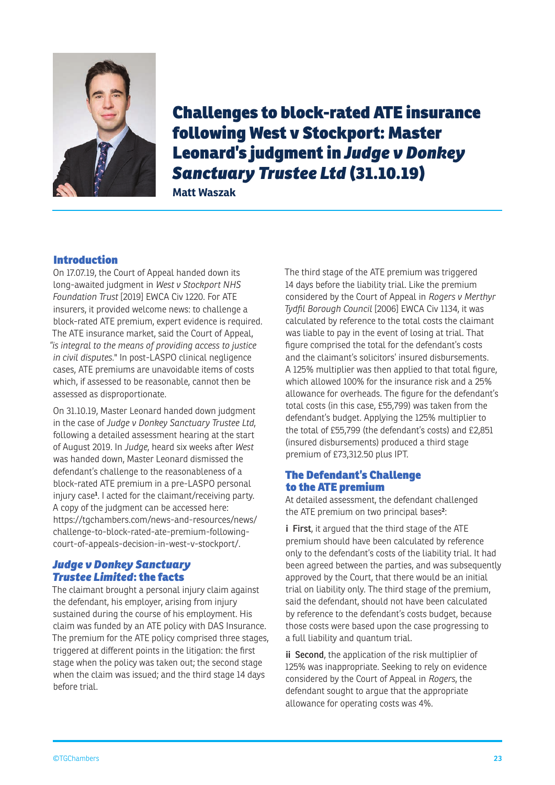

Challenges to block-rated ATE insurance following West v Stockport: Master Leonard's judgment in *Judge v Donkey Sanctuary Trustee Ltd* (31.10.19)

**Matt Waszak**

#### Introduction

On 17.07.19, the Court of Appeal handed down its long-awaited judgment in *West v Stockport NHS Foundation Trust* [2019] EWCA Civ 1220. For ATE insurers, it provided welcome news: to challenge a block-rated ATE premium, expert evidence is required. The ATE insurance market, said the Court of Appeal, *"is integral to the means of providing access to justice in civil disputes.*" In post-LASPO clinical negligence cases, ATE premiums are unavoidable items of costs which, if assessed to be reasonable, cannot then be assessed as disproportionate.

On 31.10.19, Master Leonard handed down judgment in the case of *Judge v Donkey Sanctuary Trustee Ltd*, following a detailed assessment hearing at the start of August 2019. In *Judge*, heard six weeks after *West* was handed down, Master Leonard dismissed the defendant's challenge to the reasonableness of a block-rated ATE premium in a pre-LASPO personal injury case**<sup>1</sup>** . I acted for the claimant/receiving party. A copy of the judgment can be accessed here: https://tgchambers.com/news-and-resources/news/ challenge-to-block-rated-ate-premium-followingcourt-of-appeals-decision-in-west-v-stockport/.

#### *Judge v Donkey Sanctuary Trustee Limited*: the facts

The claimant brought a personal injury claim against the defendant, his employer, arising from injury sustained during the course of his employment. His claim was funded by an ATE policy with DAS Insurance. The premium for the ATE policy comprised three stages, triggered at different points in the litigation: the first stage when the policy was taken out; the second stage when the claim was issued; and the third stage 14 days before trial.

The third stage of the ATE premium was triggered 14 days before the liability trial. Like the premium considered by the Court of Appeal in *Rogers v Merthyr Tydfil Borough Council* [2006] EWCA Civ 1134, it was calculated by reference to the total costs the claimant was liable to pay in the event of losing at trial. That figure comprised the total for the defendant's costs and the claimant's solicitors' insured disbursements. A 125% multiplier was then applied to that total figure, which allowed 100% for the insurance risk and a 25% allowance for overheads. The figure for the defendant's total costs (in this case, £55,799) was taken from the defendant's budget. Applying the 125% multiplier to the total of £55,799 (the defendant's costs) and £2,851 (insured disbursements) produced a third stage premium of £73,312.50 plus IPT.

#### The Defendant's Challenge to the ATE premium

At detailed assessment, the defendant challenged the ATE premium on two principal bases**<sup>2</sup>** :

**i** First, it argued that the third stage of the ATE premium should have been calculated by reference only to the defendant's costs of the liability trial. It had been agreed between the parties, and was subsequently approved by the Court, that there would be an initial trial on liability only. The third stage of the premium, said the defendant, should not have been calculated by reference to the defendant's costs budget, because those costs were based upon the case progressing to a full liability and quantum trial.

**ii** Second, the application of the risk multiplier of 125% was inappropriate. Seeking to rely on evidence considered by the Court of Appeal in *Rogers*, the defendant sought to argue that the appropriate allowance for operating costs was 4%.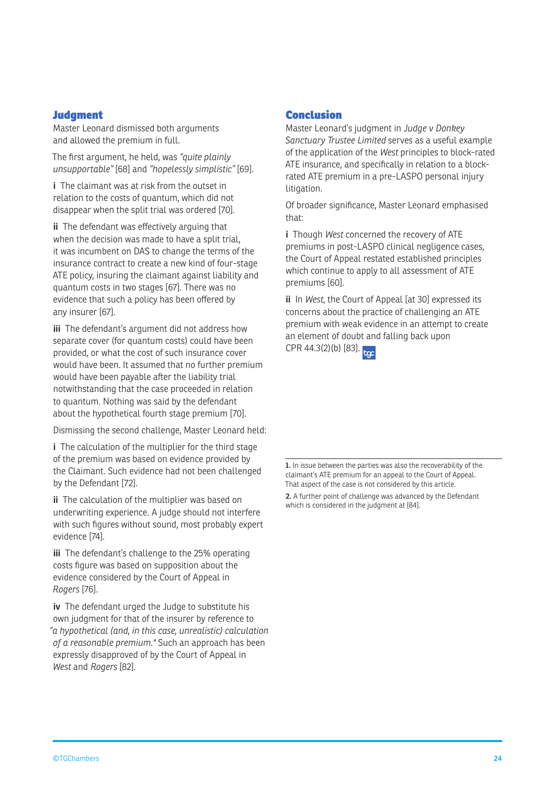#### **Judgment**

Master Leonard dismissed both arguments and allowed the premium in full.

The first argument, he held, was *"quite plainly unsupportable"* [68] and *"hopelessly simplistic"* [69].

**i** The claimant was at risk from the outset in relation to the costs of quantum, which did not disappear when the split trial was ordered [70].

**ii** The defendant was effectively arguing that when the decision was made to have a split trial, it was incumbent on DAS to change the terms of the insurance contract to create a new kind of four-stage ATE policy, insuring the claimant against liability and quantum costs in two stages [67]. There was no evidence that such a policy has been offered by any insurer [67].

**iii** The defendant's argument did not address how separate cover (for quantum costs) could have been provided, or what the cost of such insurance cover would have been. It assumed that no further premium would have been payable after the liability trial notwithstanding that the case proceeded in relation to quantum. Nothing was said by the defendant about the hypothetical fourth stage premium [70].

Dismissing the second challenge, Master Leonard held:

**i** The calculation of the multiplier for the third stage of the premium was based on evidence provided by the Claimant. Such evidence had not been challenged by the Defendant [72].

**ii** The calculation of the multiplier was based on underwriting experience. A judge should not interfere with such figures without sound, most probably expert evidence [74].

**iii** The defendant's challenge to the 25% operating costs figure was based on supposition about the evidence considered by the Court of Appeal in *Rogers* [76].

**iv** The defendant urged the Judge to substitute his own judgment for that of the insurer by reference to *"a hypothetical (and, in this case, unrealistic) calculation of a reasonable premium."* Such an approach has been expressly disapproved of by the Court of Appeal in *West* and *Rogers* [82].

#### Conclusion

Master Leonard's judgment in *Judge v Donkey Sanctuary Trustee Limited* serves as a useful example of the application of the *West* principles to block-rated ATE insurance, and specifically in relation to a blockrated ATE premium in a pre-LASPO personal injury litigation.

Of broader significance, Master Leonard emphasised that:

**i** Though *West* concerned the recovery of ATE premiums in post-LASPO clinical negligence cases, the Court of Appeal restated established principles which continue to apply to all assessment of ATE premiums [60].

**ii** In *West*, the Court of Appeal [at 30] expressed its concerns about the practice of challenging an ATE premium with weak evidence in an attempt to create an element of doubt and falling back upon

 $CPR 44.3(2)(b) [83]$ .

**1.** In issue between the parties was also the recoverability of the claimant's ATE premium for an appeal to the Court of Appeal. That aspect of the case is not considered by this article.

**2.** A further point of challenge was advanced by the Defendant which is considered in the judgment at [84].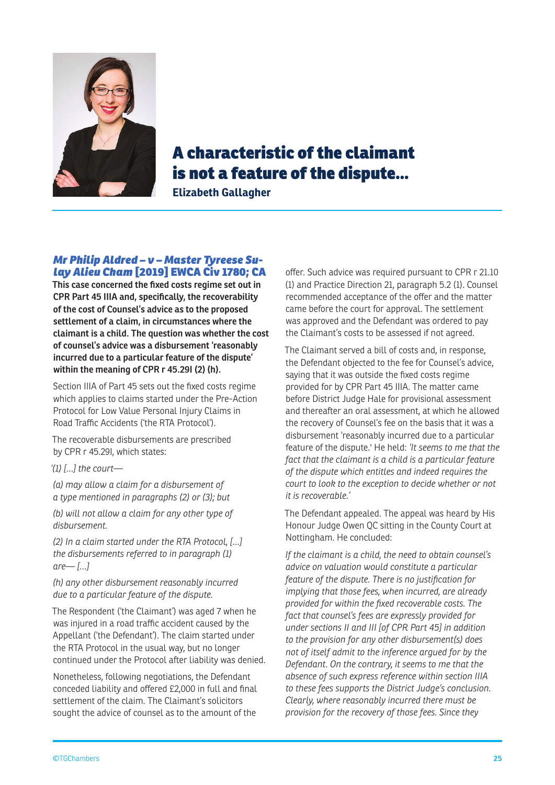

## A characteristic of the claimant is not a feature of the dispute…

**Elizabeth Gallagher**

#### *Mr Philip Aldred – v – Master Tyreese Sulay Alieu Cham* [2019] EWCA Civ 1780; CA

**This case concerned the fixed costs regime set out in CPR Part 45 IIIA and, specifically, the recoverability of the cost of Counsel's advice as to the proposed settlement of a claim, in circumstances where the claimant is a child. The question was whether the cost of counsel's advice was a disbursement 'reasonably incurred due to a particular feature of the dispute' within the meaning of CPR r 45.29I (2) (h).** 

Section IIIA of Part 45 sets out the fixed costs regime which applies to claims started under the Pre-Action Protocol for Low Value Personal Injury Claims in Road Traffic Accidents ('the RTA Protocol').

The recoverable disbursements are prescribed by CPR r 45.29I, which states:

*'(1) […] the court—*

*(a) may allow a claim for a disbursement of a type mentioned in paragraphs (2) or (3); but*

*(b) will not allow a claim for any other type of disbursement.*

*(2) In a claim started under the RTA Protocol, […] the disbursements referred to in paragraph (1) are— […]*

*(h) any other disbursement reasonably incurred due to a particular feature of the dispute.*

The Respondent ('the Claimant') was aged 7 when he was injured in a road traffic accident caused by the Appellant ('the Defendant'). The claim started under the RTA Protocol in the usual way, but no longer continued under the Protocol after liability was denied.

Nonetheless, following negotiations, the Defendant conceded liability and offered £2,000 in full and final settlement of the claim. The Claimant's solicitors sought the advice of counsel as to the amount of the

offer. Such advice was required pursuant to CPR r 21.10 (1) and Practice Direction 21, paragraph 5.2 (1). Counsel recommended acceptance of the offer and the matter came before the court for approval. The settlement was approved and the Defendant was ordered to pay the Claimant's costs to be assessed if not agreed.

The Claimant served a bill of costs and, in response, the Defendant objected to the fee for Counsel's advice, saying that it was outside the fixed costs regime provided for by CPR Part 45 IIIA. The matter came before District Judge Hale for provisional assessment and thereafter an oral assessment, at which he allowed the recovery of Counsel's fee on the basis that it was a disbursement 'reasonably incurred due to a particular feature of the dispute.' He held: *'It seems to me that the fact that the claimant is a child is a particular feature of the dispute which entitles and indeed requires the court to look to the exception to decide whether or not it is recoverable.'*

The Defendant appealed. The appeal was heard by His Honour Judge Owen QC sitting in the County Court at Nottingham. He concluded:

*If the claimant is a child, the need to obtain counsel's advice on valuation would constitute a particular feature of the dispute. There is no justification for implying that those fees, when incurred, are already provided for within the fixed recoverable costs. The fact that counsel's fees are expressly provided for under sections II and III [of CPR Part 45] in addition to the provision for any other disbursement(s) does not of itself admit to the inference argued for by the Defendant. On the contrary, it seems to me that the absence of such express reference within section IIIA to these fees supports the District Judge's conclusion. Clearly, where reasonably incurred there must be provision for the recovery of those fees. Since they*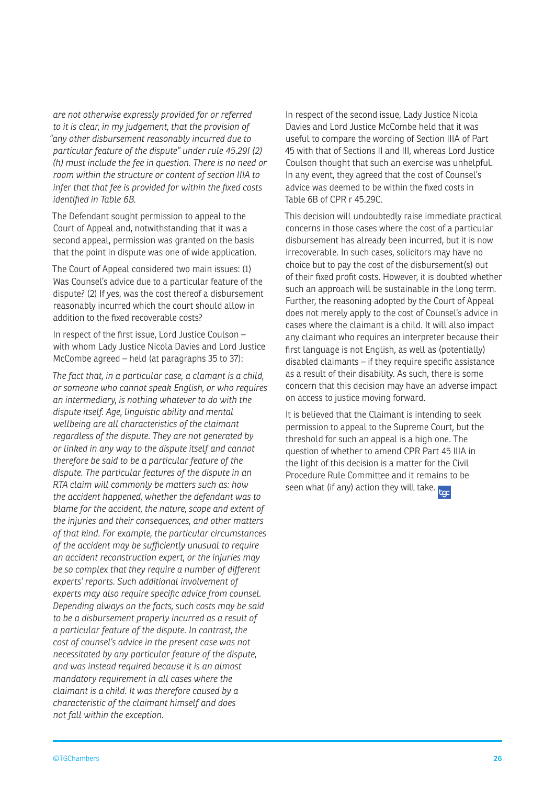*are not otherwise expressly provided for or referred to it is clear, in my judgement, that the provision of "any other disbursement reasonably incurred due to particular feature of the dispute" under rule 45.29I (2) (h) must include the fee in question. There is no need or room within the structure or content of section IIIA to infer that that fee is provided for within the fixed costs identified in Table 6B.*

The Defendant sought permission to appeal to the Court of Appeal and, notwithstanding that it was a second appeal, permission was granted on the basis that the point in dispute was one of wide application.

The Court of Appeal considered two main issues: (1) Was Counsel's advice due to a particular feature of the dispute? (2) If yes, was the cost thereof a disbursement reasonably incurred which the court should allow in addition to the fixed recoverable costs?

In respect of the first issue, Lord Justice Coulson – with whom Lady Justice Nicola Davies and Lord Justice McCombe agreed – held (at paragraphs 35 to 37):

*The fact that, in a particular case, a clamant is a child, or someone who cannot speak English, or who requires an intermediary, is nothing whatever to do with the dispute itself. Age, linguistic ability and mental wellbeing are all characteristics of the claimant regardless of the dispute. They are not generated by or linked in any way to the dispute itself and cannot therefore be said to be a particular feature of the dispute. The particular features of the dispute in an RTA claim will commonly be matters such as: how the accident happened, whether the defendant was to blame for the accident, the nature, scope and extent of the injuries and their consequences, and other matters of that kind. For example, the particular circumstances of the accident may be sufficiently unusual to require an accident reconstruction expert, or the injuries may be so complex that they require a number of different experts' reports. Such additional involvement of experts may also require specific advice from counsel. Depending always on the facts, such costs may be said to be a disbursement properly incurred as a result of a particular feature of the dispute. In contrast, the cost of counsel's advice in the present case was not necessitated by any particular feature of the dispute, and was instead required because it is an almost mandatory requirement in all cases where the claimant is a child. It was therefore caused by a characteristic of the claimant himself and does not fall within the exception.*

In respect of the second issue, Lady Justice Nicola Davies and Lord Justice McCombe held that it was useful to compare the wording of Section IIIA of Part 45 with that of Sections II and III, whereas Lord Justice Coulson thought that such an exercise was unhelpful. In any event, they agreed that the cost of Counsel's advice was deemed to be within the fixed costs in Table 6B of CPR r 45.29C.

This decision will undoubtedly raise immediate practical concerns in those cases where the cost of a particular disbursement has already been incurred, but it is now irrecoverable. In such cases, solicitors may have no choice but to pay the cost of the disbursement(s) out of their fixed profit costs. However, it is doubted whether such an approach will be sustainable in the long term. Further, the reasoning adopted by the Court of Appeal does not merely apply to the cost of Counsel's advice in cases where the claimant is a child. It will also impact any claimant who requires an interpreter because their first language is not English, as well as (potentially) disabled claimants – if they require specific assistance as a result of their disability. As such, there is some concern that this decision may have an adverse impact on access to justice moving forward.

It is believed that the Claimant is intending to seek permission to appeal to the Supreme Court, but the threshold for such an appeal is a high one. The question of whether to amend CPR Part 45 IIIA in the light of this decision is a matter for the Civil Procedure Rule Committee and it remains to be seen what (if any) action they will take. to